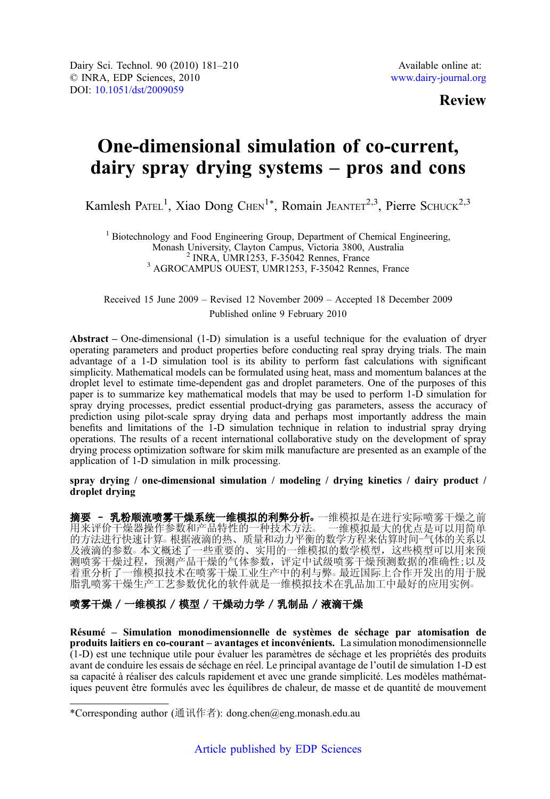## Review

# One-dimensional simulation of co-current, dairy spray drying systems – pros and cons

Kamlesh PATEL<sup>1</sup>, Xiao Dong CHEN<sup>1\*</sup>, Romain JEANTET<sup>2,3</sup>, Pierre SCHUCK<sup>2,3</sup>

 $1$  Biotechnology and Food Engineering Group, Department of Chemical Engineering, Monash University, Clayton Campus, Victoria 3800, Australia <sup>2</sup> INRA, UMR1253, F-35042 Rennes, France 3 AGROCAMPUS OUEST, UMR1253, F-35042 Rennes, France

Received 15 June 2009 – Revised 12 November 2009 – Accepted 18 December 2009 Published online 9 February 2010

Abstract – One-dimensional (1-D) simulation is a useful technique for the evaluation of dryer operating parameters and product properties before conducting real spray drying trials. The main advantage of a 1-D simulation tool is its ability to perform fast calculations with significant simplicity. Mathematical models can be formulated using heat, mass and momentum balances at the droplet level to estimate time-dependent gas and droplet parameters. One of the purposes of this paper is to summarize key mathematical models that may be used to perform 1-D simulation for spray drying processes, predict essential product-drying gas parameters, assess the accuracy of prediction using pilot-scale spray drying data and perhaps most importantly address the main benefits and limitations of the 1-D simulation technique in relation to industrial spray drying operations. The results of a recent international collaborative study on the development of spray drying process optimization software for skim milk manufacture are presented as an example of the application of 1-D simulation in milk processing.

spray drying / one-dimensional simulation / modeling / drying kinetics / dairy product / droplet drying

摘要 - 乳粉顺流喷雾干燥系统一维模拟的利弊分析。一维模拟是在进行实际喷雾干燥之前 用来评价干燥器操作参数和产品特性的一种技术方法。 一维模拟最大的优点是可以用简单 的方法进行快速计算。根据液滴的热、质量和动力平衡的数学方程来估算时间-气体的关系以 及液滴的参数○ 本文概述了一些重要的、实用的一维模拟的数学模型,这些模型可以用来预 测喷雾干燥过程,预测产品干燥的气体参数,评定中试级喷雾干燥预测数据的准确性;以及 着重分析了一维模拟技术在喷雾干燥工业生产中的利与弊○ 最近国际上合作开发出的用于脱 脂乳喷雾干燥生产工艺参数优化的软件就是一维模拟技术在乳品加工中最好的应用实例。

## 喷雾干燥 / 一维模拟 / 模型 / 干燥动力学 / 乳制品 / 液滴干燥

Résumé – Simulation monodimensionnelle de systèmes de séchage par atomisation de produits laitiers en co-courant – avantages et inconvénients. La simulation monodimensionnelle (1-D) est une technique utile pour évaluer les paramètres de séchage et les propriétés des produits avant de conduire les essais de séchage en réel. Le principal avantage de l'outil de simulation 1-D est sa capacité à réaliser des calculs rapidement et avec une grande simplicité. Les modèles mathématiques peuvent être formulés avec les équilibres de chaleur, de masse et de quantité de mouvement

<sup>\*</sup>Corresponding author (通讯作者): dong.chen@eng.monash.edu.au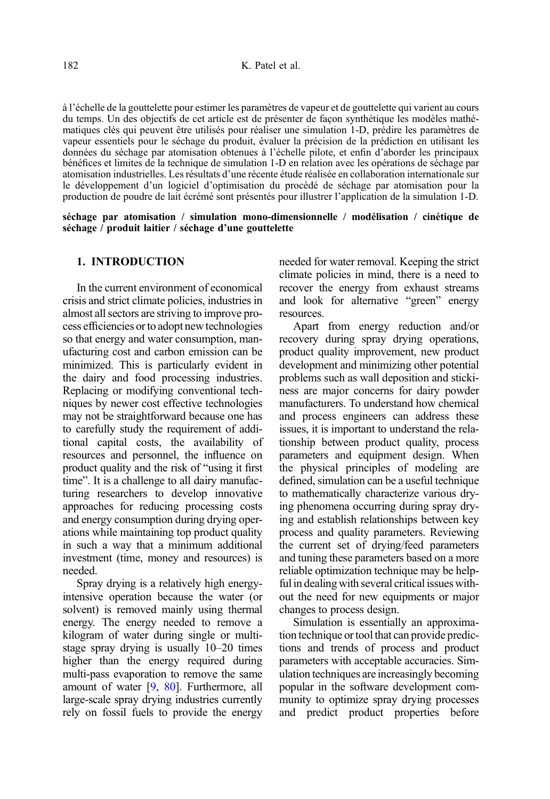à l'échelle de la gouttelette pour estimer les paramètres de vapeur et de gouttelette qui varient au cours du temps. Un des objectifs de cet article est de présenter de façon synthétique les modèles mathématiques clés qui peuvent être utilisés pour réaliser une simulation 1-D, prédire les paramètres de vapeur essentiels pour le séchage du produit, évaluer la précision de la prédiction en utilisant les données du séchage par atomisation obtenues à l'échelle pilote, et enfin d'aborder les principaux bénéfices et limites de la technique de simulation 1-D en relation avec les opérations de séchage par atomisation industrielles. Les résultats d'une récente étude réalisée en collaboration internationale sur le développement d'un logiciel d'optimisation du procédé de séchage par atomisation pour la production de poudre de lait écrémé sont présentés pour illustrer l'application de la simulation 1-D.

séchage par atomisation / simulation mono-dimensionnelle / modélisation / cinétique de séchage / produit laitier / séchage d'une gouttelette

## 1. INTRODUCTION

In the current environment of economical crisis and strict climate policies, industries in almost all sectors are striving to improve process efficiencies or to adopt new technologies so that energy and water consumption, manufacturing cost and carbon emission can be minimized. This is particularly evident in the dairy and food processing industries. Replacing or modifying conventional techniques by newer cost effective technologies may not be straightforward because one has to carefully study the requirement of additional capital costs, the availability of resources and personnel, the influence on product quality and the risk of "using it first time". It is a challenge to all dairy manufacturing researchers to develop innovative approaches for reducing processing costs and energy consumption during drying operations while maintaining top product quality in such a way that a minimum additional investment (time, money and resources) is needed.

Spray drying is a relatively high energyintensive operation because the water (or solvent) is removed mainly using thermal energy. The energy needed to remove a kilogram of water during single or multistage spray drying is usually 10–20 times higher than the energy required during multi-pass evaporation to remove the same amount of water [[9,](#page-23-0) [80](#page-26-0)]. Furthermore, all large-scale spray drying industries currently rely on fossil fuels to provide the energy needed for water removal. Keeping the strict climate policies in mind, there is a need to recover the energy from exhaust streams and look for alternative "green" energy resources.

Apart from energy reduction and/or recovery during spray drying operations, product quality improvement, new product development and minimizing other potential problems such as wall deposition and stickiness are major concerns for dairy powder manufacturers. To understand how chemical and process engineers can address these issues, it is important to understand the relationship between product quality, process parameters and equipment design. When the physical principles of modeling are defined, simulation can be a useful technique to mathematically characterize various drying phenomena occurring during spray drying and establish relationships between key process and quality parameters. Reviewing the current set of drying/feed parameters and tuning these parameters based on a more reliable optimization technique may be helpful in dealing with several critical issues without the need for new equipments or major changes to process design.

Simulation is essentially an approximation technique or tool that can provide predictions and trends of process and product parameters with acceptable accuracies. Simulation techniques are increasingly becoming popular in the software development community to optimize spray drying processes and predict product properties before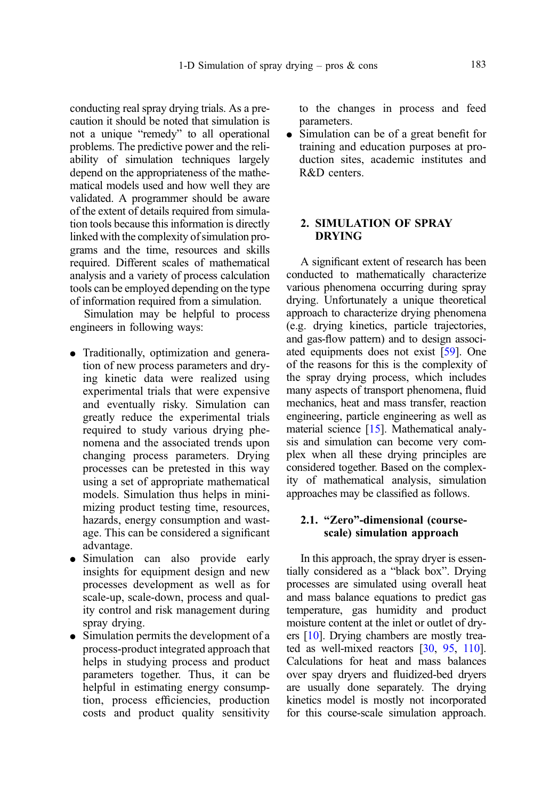conducting real spray drying trials. As a precaution it should be noted that simulation is not a unique "remedy" to all operational problems. The predictive power and the reliability of simulation techniques largely depend on the appropriateness of the mathematical models used and how well they are validated. A programmer should be aware of the extent of details required from simulation tools because this information is directly linked with the complexity of simulation programs and the time, resources and skills required. Different scales of mathematical analysis and a variety of process calculation tools can be employed depending on the type of information required from a simulation.

Simulation may be helpful to process engineers in following ways:

- Traditionally, optimization and generation of new process parameters and drying kinetic data were realized using experimental trials that were expensive and eventually risky. Simulation can greatly reduce the experimental trials required to study various drying phenomena and the associated trends upon changing process parameters. Drying processes can be pretested in this way using a set of appropriate mathematical models. Simulation thus helps in minimizing product testing time, resources, hazards, energy consumption and wastage. This can be considered a significant advantage.
- <sup>d</sup> Simulation can also provide early insights for equipment design and new processes development as well as for scale-up, scale-down, process and quality control and risk management during spray drying.
- Simulation permits the development of a process-product integrated approach that helps in studying process and product parameters together. Thus, it can be helpful in estimating energy consumption, process efficiencies, production costs and product quality sensitivity

to the changes in process and feed parameters.

• Simulation can be of a great benefit for training and education purposes at production sites, academic institutes and R&D centers.

## 2. SIMULATION OF SPRAY DRYING

A significant extent of research has been conducted to mathematically characterize various phenomena occurring during spray drying. Unfortunately a unique theoretical approach to characterize drying phenomena (e.g. drying kinetics, particle trajectories, and gas-flow pattern) and to design associated equipments does not exist [[59\]](#page-25-0). One of the reasons for this is the complexity of the spray drying process, which includes many aspects of transport phenomena, fluid mechanics, heat and mass transfer, reaction engineering, particle engineering as well as material science [\[15\]](#page-23-0). Mathematical analysis and simulation can become very complex when all these drying principles are considered together. Based on the complexity of mathematical analysis, simulation approaches may be classified as follows.

## 2.1. "Zero"-dimensional (coursescale) simulation approach

In this approach, the spray dryer is essentially considered as a "black box". Drying processes are simulated using overall heat and mass balance equations to predict gas temperature, gas humidity and product moisture content at the inlet or outlet of dryers [[10](#page-23-0)]. Drying chambers are mostly treated as well-mixed reactors [\[30,](#page-24-0) [95,](#page-26-0) [110](#page-27-0)]. Calculations for heat and mass balances over spay dryers and fluidized-bed dryers are usually done separately. The drying kinetics model is mostly not incorporated for this course-scale simulation approach.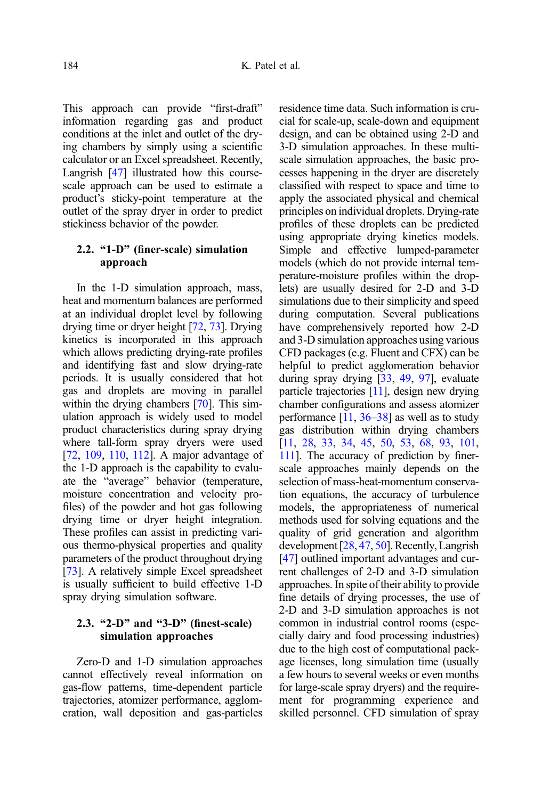This approach can provide "first-draft" information regarding gas and product conditions at the inlet and outlet of the drying chambers by simply using a scientific calculator or an Excel spreadsheet. Recently, Langrish [\[47\]](#page-25-0) illustrated how this coursescale approach can be used to estimate a product's sticky-point temperature at the outlet of the spray dryer in order to predict stickiness behavior of the powder.

## 2.2. "1-D" (finer-scale) simulation approach

In the 1-D simulation approach, mass, heat and momentum balances are performed at an individual droplet level by following drying time or dryer height [[72](#page-26-0), [73\]](#page-26-0). Drying kinetics is incorporated in this approach which allows predicting drying-rate profiles and identifying fast and slow drying-rate periods. It is usually considered that hot gas and droplets are moving in parallel within the drying chambers [[70](#page-25-0)]. This simulation approach is widely used to model product characteristics during spray drying where tall-form spray dryers were used [\[72](#page-26-0), [109,](#page-27-0) [110,](#page-27-0) [112](#page-27-0)]. A major advantage of the 1-D approach is the capability to evaluate the "average" behavior (temperature, moisture concentration and velocity profiles) of the powder and hot gas following drying time or dryer height integration. These profiles can assist in predicting various thermo-physical properties and quality parameters of the product throughout drying [\[73](#page-26-0)]. A relatively simple Excel spreadsheet is usually sufficient to build effective 1-D spray drying simulation software.

## 2.3. "2-D" and "3-D" (finest-scale) simulation approaches

Zero-D and 1-D simulation approaches cannot effectively reveal information on gas-flow patterns, time-dependent particle trajectories, atomizer performance, agglomeration, wall deposition and gas-particles residence time data. Such information is crucial for scale-up, scale-down and equipment design, and can be obtained using 2-D and 3-D simulation approaches. In these multiscale simulation approaches, the basic processes happening in the dryer are discretely classified with respect to space and time to apply the associated physical and chemical principles on individual droplets. Drying-rate profiles of these droplets can be predicted using appropriate drying kinetics models. Simple and effective lumped-parameter models (which do not provide internal temperature-moisture profiles within the droplets) are usually desired for 2-D and 3-D simulations due to their simplicity and speed during computation. Several publications have comprehensively reported how 2-D and 3-D simulation approaches using various CFD packages (e.g. Fluent and CFX) can be helpful to predict agglomeration behavior during spray drying [\[33,](#page-24-0) [49,](#page-25-0) [97](#page-27-0)], evaluate particle trajectories [\[11](#page-23-0)], design new drying chamber configurations and assess atomizer performance  $[11, 36-38]$  $[11, 36-38]$  $[11, 36-38]$  $[11, 36-38]$  $[11, 36-38]$  $[11, 36-38]$  $[11, 36-38]$  as well as to study gas distribution within drying chambers [[11](#page-23-0), [28,](#page-24-0) [33](#page-24-0), [34](#page-24-0), [45,](#page-25-0) [50](#page-25-0), [53](#page-25-0), [68,](#page-25-0) [93,](#page-26-0) [101](#page-27-0), [111](#page-27-0)]. The accuracy of prediction by finerscale approaches mainly depends on the selection of mass-heat-momentum conservation equations, the accuracy of turbulence models, the appropriateness of numerical methods used for solving equations and the quality of grid generation and algorithm development [[28,](#page-24-0) [47](#page-25-0), [50\]](#page-25-0). Recently, Langrish [[47](#page-25-0)] outlined important advantages and current challenges of 2-D and 3-D simulation approaches. In spite of their ability to provide fine details of drying processes, the use of 2-D and 3-D simulation approaches is not common in industrial control rooms (especially dairy and food processing industries) due to the high cost of computational package licenses, long simulation time (usually a few hours to several weeks or even months for large-scale spray dryers) and the requirement for programming experience and skilled personnel. CFD simulation of spray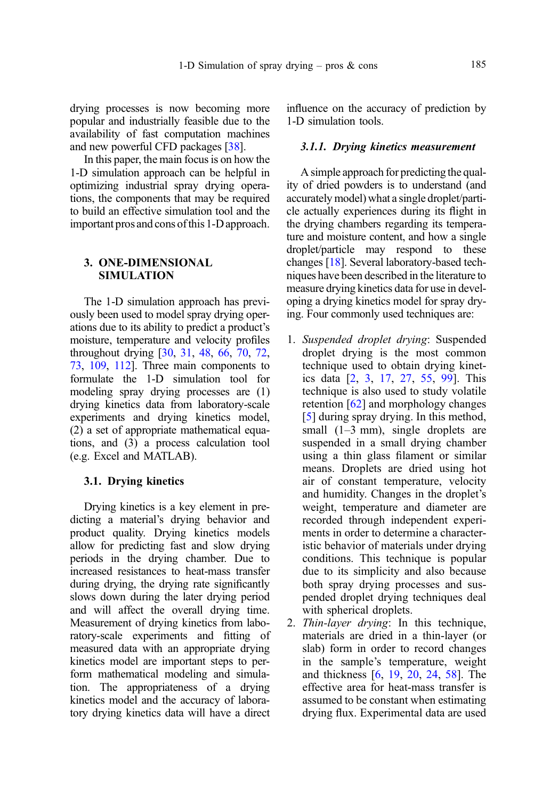drying processes is now becoming more popular and industrially feasible due to the availability of fast computation machines and new powerful CFD packages [\[38\]](#page-24-0).

In this paper, the main focus is on how the 1-D simulation approach can be helpful in optimizing industrial spray drying operations, the components that may be required to build an effective simulation tool and the important pros and cons of this 1-D approach.

#### 3. ONE-DIMENSIONAL SIMULATION

The 1-D simulation approach has previously been used to model spray drying operations due to its ability to predict a product's moisture, temperature and velocity profiles throughout drying [[30](#page-24-0), [31](#page-24-0), [48](#page-25-0), [66](#page-25-0), [70](#page-25-0), [72](#page-26-0), [73](#page-26-0), [109](#page-27-0), [112](#page-27-0)]. Three main components to formulate the 1-D simulation tool for modeling spray drying processes are (1) drying kinetics data from laboratory-scale experiments and drying kinetics model, (2) a set of appropriate mathematical equations, and (3) a process calculation tool (e.g. Excel and MATLAB).

## 3.1. Drying kinetics

Drying kinetics is a key element in predicting a material's drying behavior and product quality. Drying kinetics models allow for predicting fast and slow drying periods in the drying chamber. Due to increased resistances to heat-mass transfer during drying, the drying rate significantly slows down during the later drying period and will affect the overall drying time. Measurement of drying kinetics from laboratory-scale experiments and fitting of measured data with an appropriate drying kinetics model are important steps to perform mathematical modeling and simulation. The appropriateness of a drying kinetics model and the accuracy of laboratory drying kinetics data will have a direct influence on the accuracy of prediction by 1-D simulation tools.

## 3.1.1. Drying kinetics measurement

A simple approach for predicting the quality of dried powders is to understand (and accurately model) what a single droplet/particle actually experiences during its flight in the drying chambers regarding its temperature and moisture content, and how a single droplet/particle may respond to these changes [\[18\]](#page-24-0). Several laboratory-based techniques have been described in the literature to measure drying kinetics data for use in developing a drying kinetics model for spray drying. Four commonly used techniques are:

- 1. Suspended droplet drying: Suspended droplet drying is the most common technique used to obtain drying kinetics data [[2,](#page-23-0) [3](#page-23-0), [17,](#page-24-0) [27](#page-24-0), [55,](#page-25-0) [99\]](#page-27-0). This technique is also used to study volatile retention [\[62](#page-25-0)] and morphology changes [\[5](#page-23-0)] during spray drying. In this method, small  $(1-3$  mm), single droplets are suspended in a small drying chamber using a thin glass filament or similar means. Droplets are dried using hot air of constant temperature, velocity and humidity. Changes in the droplet's weight, temperature and diameter are recorded through independent experiments in order to determine a characteristic behavior of materials under drying conditions. This technique is popular due to its simplicity and also because both spray drying processes and suspended droplet drying techniques deal with spherical droplets.
- 2. Thin-layer drying: In this technique, materials are dried in a thin-layer (or slab) form in order to record changes in the sample's temperature, weight and thickness [\[6](#page-23-0), [19](#page-24-0), [20,](#page-24-0) [24,](#page-24-0) [58\]](#page-25-0). The effective area for heat-mass transfer is assumed to be constant when estimating drying flux. Experimental data are used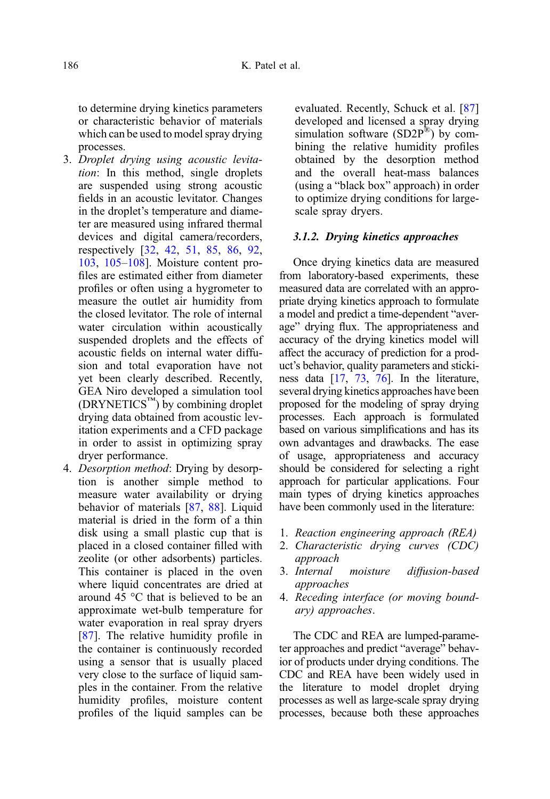to determine drying kinetics parameters or characteristic behavior of materials which can be used to model spray drying processes.

- 3. Droplet drying using acoustic levitation: In this method, single droplets are suspended using strong acoustic fields in an acoustic levitator. Changes in the droplet's temperature and diameter are measured using infrared thermal devices and digital camera/recorders, respectively [[32,](#page-24-0) [42](#page-24-0), [51,](#page-25-0) [85,](#page-26-0) [86](#page-26-0), [92,](#page-26-0) [103,](#page-27-0) [105](#page-27-0)–[108](#page-27-0)]. Moisture content profiles are estimated either from diameter profiles or often using a hygrometer to measure the outlet air humidity from the closed levitator. The role of internal water circulation within acoustically suspended droplets and the effects of acoustic fields on internal water diffusion and total evaporation have not yet been clearly described. Recently, GEA Niro developed a simulation tool (DRYNETICS™) by combining droplet drying data obtained from acoustic levitation experiments and a CFD package in order to assist in optimizing spray dryer performance.
- 4. Desorption method: Drying by desorption is another simple method to measure water availability or drying behavior of materials [[87,](#page-26-0) [88](#page-26-0)]. Liquid material is dried in the form of a thin disk using a small plastic cup that is placed in a closed container filled with zeolite (or other adsorbents) particles. This container is placed in the oven where liquid concentrates are dried at around 45 °C that is believed to be an approximate wet-bulb temperature for water evaporation in real spray dryers [[87\]](#page-26-0). The relative humidity profile in the container is continuously recorded using a sensor that is usually placed very close to the surface of liquid samples in the container. From the relative humidity profiles, moisture content profiles of the liquid samples can be

evaluated. Recently, Schuck et al. [\[87](#page-26-0)] developed and licensed a spray drying simulation software  $(SD2P^{\mathcal{B}})$  by combining the relative humidity profiles obtained by the desorption method and the overall heat-mass balances (using a "black box" approach) in order to optimize drying conditions for largescale spray dryers.

## 3.1.2. Drying kinetics approaches

Once drying kinetics data are measured from laboratory-based experiments, these measured data are correlated with an appropriate drying kinetics approach to formulate a model and predict a time-dependent "average" drying flux. The appropriateness and accuracy of the drying kinetics model will affect the accuracy of prediction for a product's behavior, quality parameters and stickiness data [\[17,](#page-24-0) [73,](#page-26-0) [76](#page-26-0)]. In the literature, several drying kinetics approaches have been proposed for the modeling of spray drying processes. Each approach is formulated based on various simplifications and has its own advantages and drawbacks. The ease of usage, appropriateness and accuracy should be considered for selecting a right approach for particular applications. Four main types of drying kinetics approaches have been commonly used in the literature:

- 1. Reaction engineering approach (REA)
- 2. Characteristic drying curves (CDC) approach
- 3. Internal moisture diffusion-based approaches
- 4. Receding interface (or moving boundary) approaches.

The CDC and REA are lumped-parameter approaches and predict "average" behavior of products under drying conditions. The CDC and REA have been widely used in the literature to model droplet drying processes as well as large-scale spray drying processes, because both these approaches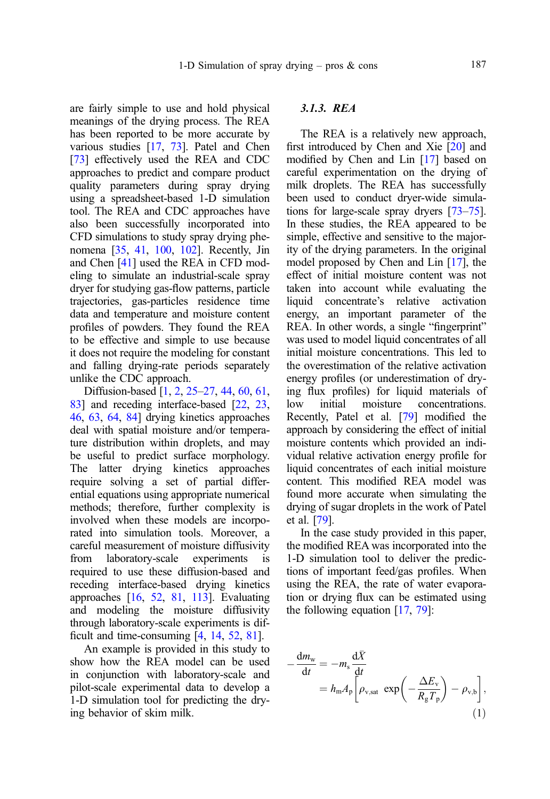<span id="page-6-0"></span>are fairly simple to use and hold physical meanings of the drying process. The REA has been reported to be more accurate by various studies [[17](#page-24-0), [73\]](#page-26-0). Patel and Chen [[73](#page-26-0)] effectively used the REA and CDC approaches to predict and compare product quality parameters during spray drying using a spreadsheet-based 1-D simulation tool. The REA and CDC approaches have also been successfully incorporated into CFD simulations to study spray drying phenomena [\[35,](#page-24-0) [41](#page-24-0), [100](#page-27-0), [102\]](#page-27-0). Recently, Jin and Chen [\[41\]](#page-24-0) used the REA in CFD modeling to simulate an industrial-scale spray dryer for studying gas-flow patterns, particle trajectories, gas-particles residence time data and temperature and moisture content profiles of powders. They found the REA to be effective and simple to use because it does not require the modeling for constant and falling drying-rate periods separately unlike the CDC approach.

Diffusion-based [[1,](#page-23-0) [2](#page-23-0), [25](#page-24-0)–[27,](#page-24-0) [44,](#page-25-0) [60](#page-25-0), [61](#page-25-0), [83](#page-26-0)] and receding interface-based [\[22,](#page-24-0) [23](#page-24-0), [46](#page-25-0), [63](#page-25-0), [64](#page-25-0), [84](#page-26-0)] drying kinetics approaches deal with spatial moisture and/or temperature distribution within droplets, and may be useful to predict surface morphology. The latter drying kinetics approaches require solving a set of partial differential equations using appropriate numerical methods; therefore, further complexity is involved when these models are incorporated into simulation tools. Moreover, a careful measurement of moisture diffusivity from laboratory-scale experiments is required to use these diffusion-based and receding interface-based drying kinetics approaches [\[16,](#page-23-0) [52](#page-25-0), [81](#page-26-0), [113](#page-27-0)]. Evaluating and modeling the moisture diffusivity through laboratory-scale experiments is difficult and time-consuming [\[4](#page-23-0), [14,](#page-23-0) [52,](#page-25-0) [81](#page-26-0)].

An example is provided in this study to show how the REA model can be used in conjunction with laboratory-scale and pilot-scale experimental data to develop a 1-D simulation tool for predicting the drying behavior of skim milk.

## 3.1.3. REA

The REA is a relatively new approach, first introduced by Chen and Xie [\[20\]](#page-24-0) and modified by Chen and Lin [[17](#page-24-0)] based on careful experimentation on the drying of milk droplets. The REA has successfully been used to conduct dryer-wide simulations for large-scale spray dryers [\[73](#page-26-0)–[75](#page-26-0)]. In these studies, the REA appeared to be simple, effective and sensitive to the majority of the drying parameters. In the original model proposed by Chen and Lin [[17](#page-24-0)], the effect of initial moisture content was not taken into account while evaluating the liquid concentrate's relative activation energy, an important parameter of the REA. In other words, a single "fingerprint" was used to model liquid concentrates of all initial moisture concentrations. This led to the overestimation of the relative activation energy profiles (or underestimation of drying flux profiles) for liquid materials of low initial moisture concentrations. Recently, Patel et al. [[79](#page-26-0)] modified the approach by considering the effect of initial moisture contents which provided an individual relative activation energy profile for liquid concentrates of each initial moisture content. This modified REA model was found more accurate when simulating the drying of sugar droplets in the work of Patel et al. [\[79](#page-26-0)].

In the case study provided in this paper, the modified REA was incorporated into the 1-D simulation tool to deliver the predictions of important feed/gas profiles. When using the REA, the rate of water evaporation or drying flux can be estimated using the following equation  $[17, 79]$  $[17, 79]$  $[17, 79]$  $[17, 79]$ :

$$
-\frac{dm_w}{dt} = -m_s \frac{d\bar{X}}{dt}
$$
  
=  $h_m A_p \left[ \rho_{v, sat} \exp\left(-\frac{\Delta E_v}{R_g T_p}\right) - \rho_{v, b} \right],$   
(1)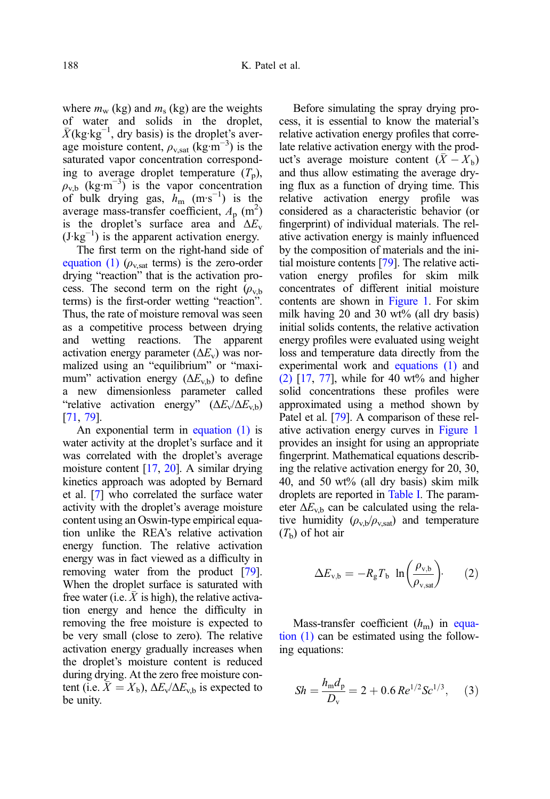where  $m_w$  (kg) and  $m_s$  (kg) are the weights of water and solids in the droplet,  $\bar{X}$ (kg·kg<sup>-1</sup>, dry basis) is the droplet's average moisture content,  $\rho_{v, \text{sat}}$  (kg·m<sup>-3</sup>) is the saturated vapor concentration corresponding to average droplet temperature  $(T_n)$ ,  $\rho_{v,b}$  (kg·m<sup>-3</sup>) is the vapor concentration of bulk drying gas,  $h_m$  (m·s<sup>-1</sup>) is the average mass-transfer coefficient,  $A_{\rm p}$  (m<sup>2</sup>) is the droplet's surface area and  $\Delta E_{\rm v}$  $(J \cdot kg^{-1})$  is the apparent activation energy.

The first term on the right-hand side of [equation \(1\)](#page-6-0)  $(\rho_{v, sat}$  terms) is the zero-order drying "reaction" that is the activation process. The second term on the right  $(\rho_{\rm vb}$ terms) is the first-order wetting "reaction". Thus, the rate of moisture removal was seen as a competitive process between drying and wetting reactions. The apparent activation energy parameter  $(\Delta E_{v})$  was normalized using an "equilibrium" or "maximum" activation energy  $(\Delta E_{\rm vb})$  to define a new dimensionless parameter called "relative activation energy"  $(\Delta E_{\rm v}/\Delta E_{\rm v,b})$ [\[71](#page-25-0), [79](#page-26-0)].

An exponential term in [equation \(1\)](#page-6-0) is water activity at the droplet's surface and it was correlated with the droplet's average moisture content  $[17, 20]$  $[17, 20]$  $[17, 20]$ . A similar drying kinetics approach was adopted by Bernard et al. [\[7](#page-23-0)] who correlated the surface water activity with the droplet's average moisture content using an Oswin-type empirical equation unlike the REA's relative activation energy function. The relative activation energy was in fact viewed as a difficulty in removing water from the product [\[79\]](#page-26-0). When the droplet surface is saturated with free water (i.e.  $X$  is high), the relative activation energy and hence the difficulty in removing the free moisture is expected to be very small (close to zero). The relative activation energy gradually increases when the droplet's moisture content is reduced during drying. At the zero free moisture content (i.e.  $\bar{X} = X_{\rm b}$ ),  $\Delta E_{\rm v}/\Delta E_{\rm vb}$  is expected to be unity.

Before simulating the spray drying process, it is essential to know the material's relative activation energy profiles that correlate relative activation energy with the product's average moisture content  $(\bar{X} - X_b)$ and thus allow estimating the average drying flux as a function of drying time. This relative activation energy profile was considered as a characteristic behavior (or fingerprint) of individual materials. The relative activation energy is mainly influenced by the composition of materials and the initial moisture contents [\[79\]](#page-26-0). The relative activation energy profiles for skim milk concentrates of different initial moisture contents are shown in [Figure 1.](#page-8-0) For skim milk having 20 and 30 wt% (all dry basis) initial solids contents, the relative activation energy profiles were evaluated using weight loss and temperature data directly from the experimental work and [equations \(1\)](#page-6-0) and  $(2)$  [[17](#page-24-0), [77](#page-26-0)], while for 40 wt% and higher solid concentrations these profiles were approximated using a method shown by Patel et al. [[79](#page-26-0)]. A comparison of these relative activation energy curves in [Figure 1](#page-8-0) provides an insight for using an appropriate fingerprint. Mathematical equations describing the relative activation energy for 20, 30, 40, and 50 wt% (all dry basis) skim milk droplets are reported in [Table I](#page-9-0). The parameter  $\Delta E_{v,b}$  can be calculated using the relative humidity  $(\rho_{v,b}/\rho_{v,sat})$  and temperature  $(T<sub>b</sub>)$  of hot air

$$
\Delta E_{\rm v,b} = -R_{\rm g} T_{\rm b} \ln \left( \frac{\rho_{\rm v,b}}{\rho_{\rm v,sat}} \right). \tag{2}
$$

Mass-transfer coefficient  $(h<sub>m</sub>)$  in [equa](#page-6-0)[tion \(1\)](#page-6-0) can be estimated using the following equations:

$$
Sh = \frac{h_{\rm m}d_{\rm p}}{D_{\rm v}} = 2 + 0.6 \, Re^{1/2} Sc^{1/3},\qquad(3)
$$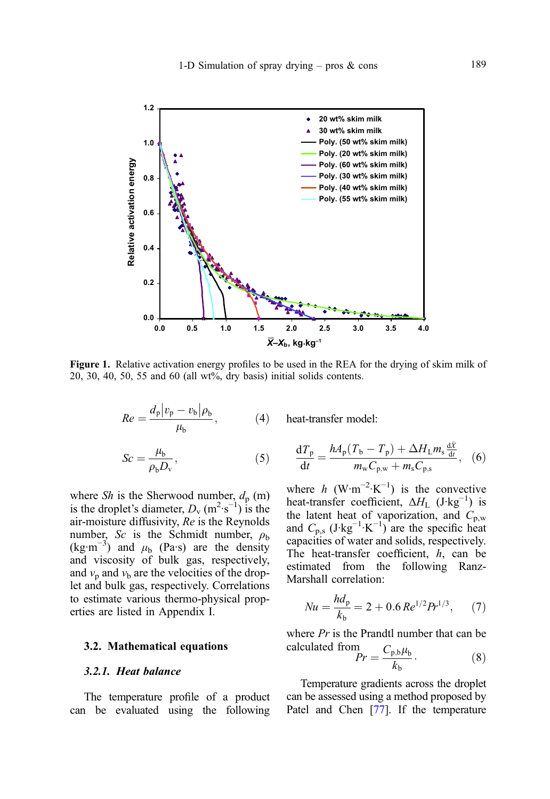<span id="page-8-0"></span>

Figure 1. Relative activation energy profiles to be used in the REA for the drying of skim milk of 20, 30, 40, 50, 55 and 60 (all wt%, dry basis) initial solids contents.

$$
Re = \frac{d_{\rm p}|v_{\rm p} - v_{\rm b}|\rho_{\rm b}}{\mu_{\rm b}},\tag{4}
$$

$$
Sc = \frac{\mu_b}{\rho_b D_v},\tag{5}
$$

where Sh is the Sherwood number,  $d_p$  (m) is the droplet's diameter,  $D_v$  (m<sup>2</sup>·s<sup>-1</sup>) is the air-moisture diffusivity, Re is the Reynolds number, Sc is the Schmidt number,  $\rho_h$ (kg·m<sup>-3</sup>) and  $\mu_b$  (Pa·s) are the density and viscosity of bulk gas, respectively, and  $v_p$  and  $v_b$  are the velocities of the droplet and bulk gas, respectively. Correlations to estimate various thermo-physical properties are listed in Appendix I.

#### 3.2. Mathematical equations

## 3.2.1. Heat balance

The temperature profile of a product can be evaluated using the following heat-transfer model:

$$
\frac{dT_{\rm p}}{dt} = \frac{hA_{\rm p}(T_{\rm b} - T_{\rm p}) + \Delta H_{\rm L}m_{\rm s}\frac{d\bar{X}}{dt}}{m_{\rm w}C_{\rm p,w} + m_{\rm s}C_{\rm p,s}},
$$
 (6)

where  $h$  (W·m<sup>-2</sup>·K<sup>-1</sup>) is the convective heat-transfer coefficient,  $\Delta H_L$  (J·kg<sup>-1</sup>) is the latent heat of vaporization, and  $C_{p,w}$ and  $C_{p,s}$  (J·kg<sup>-1</sup>·K<sup>-1</sup>) are the specific heat capacities of water and solids, respectively. The heat-transfer coefficient, h, can be estimated from the following Ranz-Marshall correlation:

$$
Nu = \frac{hd_p}{k_b} = 2 + 0.6 \, Re^{1/2} Pr^{1/3},\qquad(7)
$$

where *Pr* is the Prandtl number that can be calculated from  $C \cdot u$ 

$$
Pr = \frac{C_{p,b}\mu_b}{k_b}.
$$
 (8)

Temperature gradients across the droplet can be assessed using a method proposed by Patel and Chen [[77](#page-26-0)]. If the temperature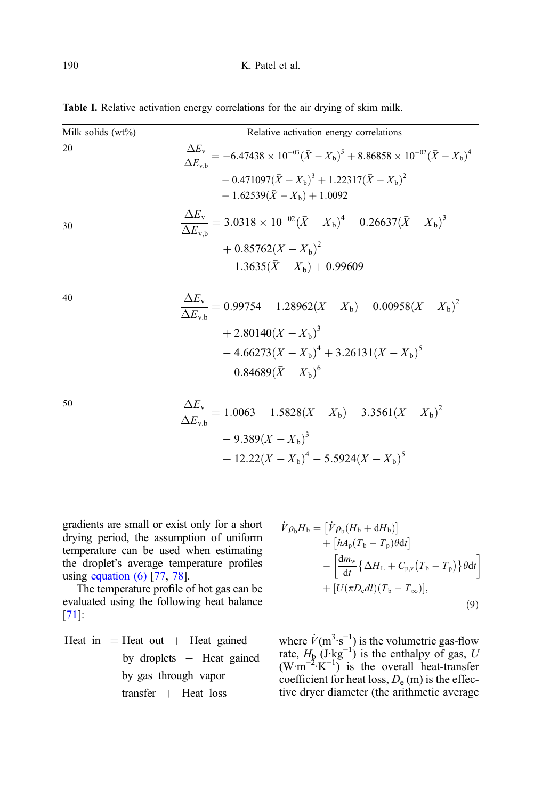| Milk solids $(wt\%)$ | Relative activation energy correlations                                                                                                            |
|----------------------|----------------------------------------------------------------------------------------------------------------------------------------------------|
| 20                   | $\frac{\Delta E_{\rm v}}{\Delta E_{\rm v,b}} = -6.47438 \times 10^{-03} (\bar{X} - X_{\rm b})^5 + 8.86858 \times 10^{-02} (\bar{X} - X_{\rm b})^4$ |
|                      | $-0.471097(\bar{X}-X_{\rm b})^3+1.22317(\bar{X}-X_{\rm b})^2$                                                                                      |
|                      | $-1.62539(\bar{X}-X_{\rm b})+1.0092$                                                                                                               |
| 30                   | $\frac{\Delta E_{\rm v}}{\Delta E_{\rm v,b}} = 3.0318 \times 10^{-02} (\bar{X} - X_{\rm b})^4 - 0.26637 (\bar{X} - X_{\rm b})^3$                   |
|                      | $+0.85762(\bar{X}-X_{\rm b})^2$                                                                                                                    |
|                      | $-1.3635(\bar{X}-X_{\rm b})+0.99609$                                                                                                               |
| 40                   | $\frac{\Delta E_{\rm v}}{\Delta E_{\rm v}} = 0.99754 - 1.28962(X - X_{\rm b}) - 0.00958(X - X_{\rm b})^2$                                          |
|                      | $+2.80140(X-X_h)^3$                                                                                                                                |
|                      | $-4.66273(X-X_{\rm b})^4+3.26131(\bar{X}-X_{\rm b})^5$                                                                                             |
|                      | $-0.84689(\bar{X}-X_{h})^{6}$                                                                                                                      |
| 50                   | $\frac{\Delta E_{v}}{\Delta E_{v,b}} = 1.0063 - 1.5828(X - X_{b}) + 3.3561(X - X_{b})^{2}$                                                         |
|                      | $-9.389(X-X_h)^3$                                                                                                                                  |

 $+ 12.22(X - X_{\rm b})^4 - 5.5924(X - X_{\rm b})^5$ 

<span id="page-9-0"></span>Table I. Relative activation energy correlations for the air drying of skim milk.

gradients are small or exist only for a short drying period, the assumption of uniform temperature can be used when estimating the droplet's average temperature profiles using [equation \(6\)](#page-8-0) [\[77,](#page-26-0) [78](#page-26-0)].

The temperature profile of hot gas can be evaluated using the following heat balance [\[71](#page-25-0)]:

Heat in  $=$  Heat out  $+$  Heat gained by droplets - Heat gained by gas through vapor transfer  $+$  Heat loss

$$
\dot{V}\rho_{\rm b}H_{\rm b} = \left[\dot{V}\rho_{\rm b}(H_{\rm b} + dH_{\rm b})\right] \n+ \left[hA_{\rm p}(T_{\rm b} - T_{\rm p})\theta dt\right] \n- \left[\frac{dm_{\rm w}}{dt}\left\{\Delta H_{\rm L} + C_{\rm p,v}(T_{\rm b} - T_{\rm p})\right\}\theta dt\right] \n+ \left[U(\pi D_{\rm e}dl)(T_{\rm b} - T_{\infty})\right],
$$
\n(9)

where  $\dot{V} (m^3 \cdot s^{-1})$  is the volumetric gas-flow rate,  $H_{\rm b}$  (J·kg<sup>-1</sup>) is the enthalpy of gas, U  $(W \cdot m^{-2} \cdot K^{-1})$  is the overall heat-transfer coefficient for heat loss,  $D_e$  (m) is the effective dryer diameter (the arithmetic average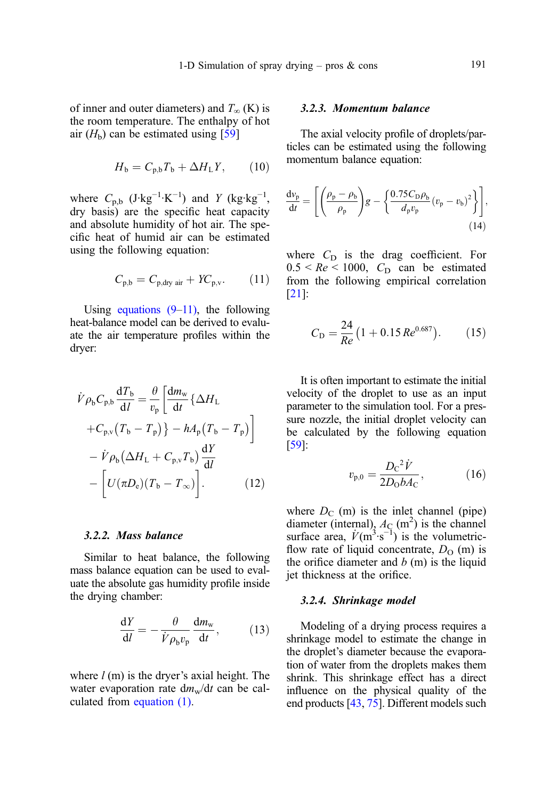of inner and outer diameters) and  $T_{\infty}$  (K) is the room temperature. The enthalpy of hot air  $(H<sub>b</sub>)$  can be estimated using [[59\]](#page-25-0)

$$
H_{\rm b} = C_{\rm p,b} T_{\rm b} + \Delta H_{\rm L} Y, \qquad (10)
$$

where  $C_{p,b}$   $(J \cdot kg^{-1} \cdot K^{-1})$  and Y  $(kg \cdot kg^{-1})$ , dry basis) are the specific heat capacity and absolute humidity of hot air. The specific heat of humid air can be estimated using the following equation:

$$
C_{p,b} = C_{p, \text{dry air}} + Y C_{p,v}.
$$
 (11)

Using equations  $(9-11)$ , the following heat-balance model can be derived to evaluate the air temperature profiles within the dryer:

$$
\dot{V}\rho_{\rm b}C_{\rm p,b}\frac{dT_{\rm b}}{dl} = \frac{\theta}{v_{\rm p}} \left[ \frac{dm_{\rm w}}{dt} \left\{ \Delta H_{\rm L} \right.\n+ C_{\rm p,v} (T_{\rm b} - T_{\rm p}) \right\} - hA_{\rm p} (T_{\rm b} - T_{\rm p}) \right]\n- \dot{V}\rho_{\rm b} (\Delta H_{\rm L} + C_{\rm p,v} T_{\rm b}) \frac{dY}{dl}\n- \left[ U(\pi D_{\rm e}) (T_{\rm b} - T_{\infty}) \right].
$$
\n(12)

#### 3.2.2. Mass balance

Similar to heat balance, the following mass balance equation can be used to evaluate the absolute gas humidity profile inside the drying chamber:

$$
\frac{\mathrm{d}Y}{\mathrm{d}l} = -\frac{\theta}{\dot{V}\rho_{\rm b}v_{\rm p}}\frac{\mathrm{d}m_{\rm w}}{\mathrm{d}t},\qquad(13)
$$

where  $l$  (m) is the dryer's axial height. The water evaporation rate  $dm<sub>w</sub>/dt$  can be calculated from [equation \(1\).](#page-6-0)

#### 3.2.3. Momentum balance

The axial velocity profile of droplets/particles can be estimated using the following momentum balance equation:

$$
\frac{d\nu_{\rm p}}{dt} = \left[ \left( \frac{\rho_{\rm p} - \rho_{\rm b}}{\rho_{\rm p}} \right) g - \left\{ \frac{0.75 C_{\rm D} \rho_{\rm b}}{d_{\rm p} v_{\rm p}} (v_{\rm p} - v_{\rm b})^2 \right\} \right],
$$
\n(14)

where  $C_D$  is the drag coefficient. For  $0.5 < Re \le 1000$ ,  $C_D$  can be estimated from the following empirical correlation [[21\]](#page-24-0):

$$
C_{\rm D} = \frac{24}{Re} \left( 1 + 0.15 \, Re^{0.687} \right). \tag{15}
$$

It is often important to estimate the initial velocity of the droplet to use as an input parameter to the simulation tool. For a pressure nozzle, the initial droplet velocity can be calculated by the following equation [[59\]](#page-25-0):

$$
v_{\rm p,0} = \frac{D_{\rm C}^2 \dot{V}}{2D_{\rm O}bA_{\rm C}},\qquad(16)
$$

where  $D_{\rm C}$  (m) is the inlet channel (pipe) diameter (internal),  $A_C$  (m<sup>2</sup>) is the channel surface area,  $\dot{V} (m^3 \cdot s^{-1})$  is the volumetricflow rate of liquid concentrate,  $D<sub>O</sub>$  (m) is the orifice diameter and  $b$  (m) is the liquid jet thickness at the orifice.

#### 3.2.4. Shrinkage model

Modeling of a drying process requires a shrinkage model to estimate the change in the droplet's diameter because the evaporation of water from the droplets makes them shrink. This shrinkage effect has a direct influence on the physical quality of the end products [\[43,](#page-24-0) [75\]](#page-26-0). Different models such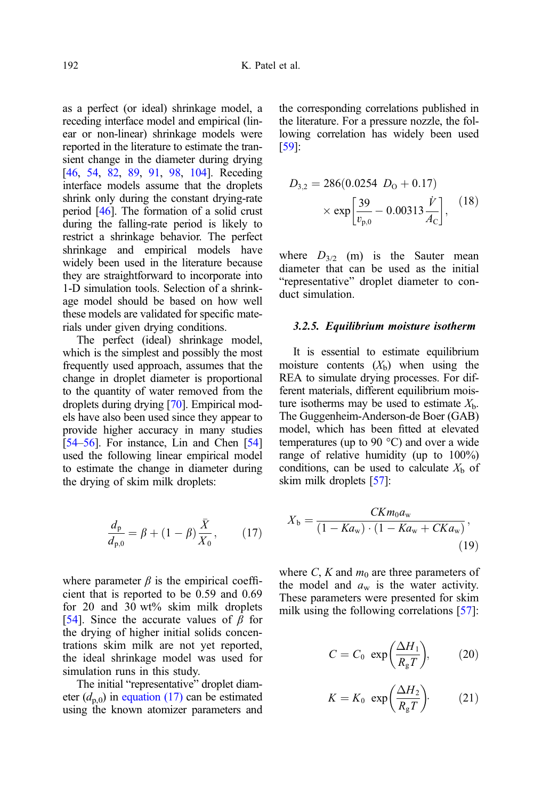as a perfect (or ideal) shrinkage model, a receding interface model and empirical (linear or non-linear) shrinkage models were reported in the literature to estimate the transient change in the diameter during drying [\[46](#page-25-0), [54,](#page-25-0) [82](#page-26-0), [89,](#page-26-0) [91](#page-26-0), [98,](#page-27-0) [104](#page-27-0)]. Receding interface models assume that the droplets shrink only during the constant drying-rate period [\[46](#page-25-0)]. The formation of a solid crust during the falling-rate period is likely to restrict a shrinkage behavior. The perfect shrinkage and empirical models have widely been used in the literature because they are straightforward to incorporate into 1-D simulation tools. Selection of a shrinkage model should be based on how well these models are validated for specific materials under given drying conditions.

The perfect (ideal) shrinkage model, which is the simplest and possibly the most frequently used approach, assumes that the change in droplet diameter is proportional to the quantity of water removed from the droplets during drying [\[70\]](#page-25-0). Empirical models have also been used since they appear to provide higher accuracy in many studies [\[54](#page-25-0)–[56\]](#page-25-0). For instance, Lin and Chen [54] used the following linear empirical model to estimate the change in diameter during the drying of skim milk droplets:

$$
\frac{d_{\rm p}}{d_{\rm p,0}} = \beta + (1 - \beta) \frac{\bar{X}}{X_0},\qquad(17)
$$

where parameter  $\beta$  is the empirical coefficient that is reported to be 0.59 and 0.69 for 20 and 30 wt% skim milk droplets [[54\]](#page-25-0). Since the accurate values of  $\beta$  for the drying of higher initial solids concentrations skim milk are not yet reported, the ideal shrinkage model was used for simulation runs in this study.

The initial "representative" droplet diameter  $(d_{p,0})$  in equation (17) can be estimated using the known atomizer parameters and the corresponding correlations published in the literature. For a pressure nozzle, the following correlation has widely been used [[59](#page-25-0)]:

$$
D_{3,2} = 286(0.0254 \ D_0 + 0.17)
$$
  
× exp  $\left[\frac{39}{v_{\text{p},0}} - 0.00313 \frac{\dot{V}}{A_{\text{C}}}\right]$ , (18)

where  $D_{3/2}$  (m) is the Sauter mean diameter that can be used as the initial "representative" droplet diameter to conduct simulation.

#### 3.2.5. Equilibrium moisture isotherm

It is essential to estimate equilibrium moisture contents  $(X<sub>b</sub>)$  when using the REA to simulate drying processes. For different materials, different equilibrium moisture isotherms may be used to estimate  $X<sub>b</sub>$ . The Guggenheim-Anderson-de Boer (GAB) model, which has been fitted at elevated temperatures (up to 90 °C) and over a wide range of relative humidity (up to 100%) conditions, can be used to calculate  $X<sub>b</sub>$  of skim milk droplets [\[57](#page-25-0)]:

$$
X_{\rm b} = \frac{CKm_0 a_{\rm w}}{(1 - Ka_{\rm w}) \cdot (1 - Ka_{\rm w} + CKa_{\rm w})},\tag{19}
$$

where C, K and  $m_0$  are three parameters of the model and  $a_w$  is the water activity. These parameters were presented for skim milk using the following correlations [[57\]](#page-25-0):

$$
C = C_0 \exp\left(\frac{\Delta H_1}{R_g T}\right), \quad (20)
$$

$$
K = K_0 \exp\left(\frac{\Delta H_2}{R_g T}\right).
$$
 (21)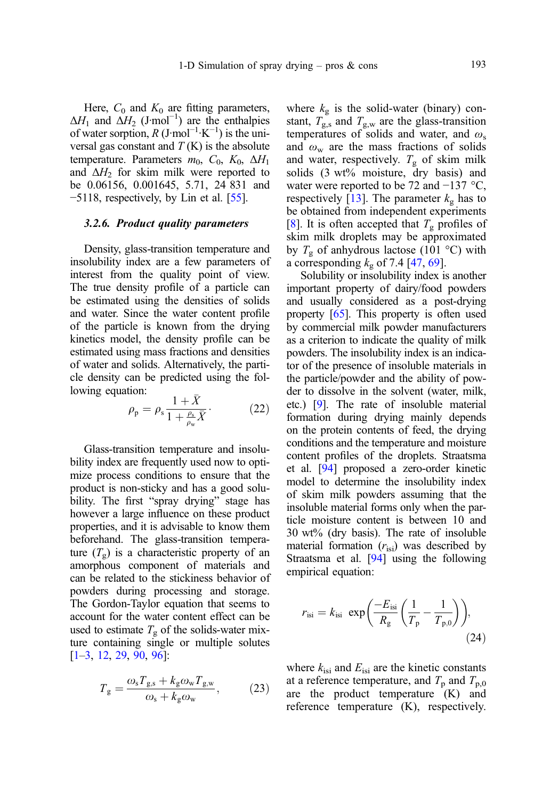<span id="page-12-0"></span>Here,  $C_0$  and  $K_0$  are fitting parameters,  $\Delta H_1$  and  $\Delta H_2$  (J·mol<sup>-1</sup>) are the enthalpies of water sorption,  $R \text{ (J·mol}^{-1} \cdot \text{K}^{-1})$  is the universal gas constant and  $T(K)$  is the absolute temperature. Parameters  $m_0$ ,  $C_0$ ,  $K_0$ ,  $\Delta H_1$ and  $\Delta H_2$  for skim milk were reported to be 0.06156, 0.001645, 5.71, 24 831 and −5118, respectively, by Lin et al. [\[55\]](#page-25-0).

#### 3.2.6. Product quality parameters

Density, glass-transition temperature and insolubility index are a few parameters of interest from the quality point of view. The true density profile of a particle can be estimated using the densities of solids and water. Since the water content profile of the particle is known from the drying kinetics model, the density profile can be estimated using mass fractions and densities of water and solids. Alternatively, the particle density can be predicted using the following equation:

$$
\rho_{\rm p} = \rho_{\rm s} \frac{1 + \bar{X}}{1 + \frac{\rho_{\rm s}}{\rho_{\rm w}} \bar{X}}.
$$
 (22)

Glass-transition temperature and insolubility index are frequently used now to optimize process conditions to ensure that the product is non-sticky and has a good solubility. The first "spray drying" stage has however a large influence on these product properties, and it is advisable to know them beforehand. The glass-transition temperature  $(T_{\rm g})$  is a characteristic property of an amorphous component of materials and can be related to the stickiness behavior of powders during processing and storage. The Gordon-Taylor equation that seems to account for the water content effect can be used to estimate  $T_g$  of the solids-water mixture containing single or multiple solutes [[1](#page-23-0)–[3](#page-23-0), [12,](#page-23-0) [29,](#page-24-0) [90](#page-26-0), [96\]](#page-27-0):

$$
T_{\rm g} = \frac{\omega_{\rm s} T_{\rm g,s} + k_{\rm g} \omega_{\rm w} T_{\rm g,w}}{\omega_{\rm s} + k_{\rm g} \omega_{\rm w}},\qquad(23)
$$

where  $k_g$  is the solid-water (binary) constant,  $T_{\rm g,s}$  and  $T_{\rm g,w}$  are the glass-transition temperatures of solids and water, and  $\omega$ <sub>s</sub> and  $\omega_{\rm w}$  are the mass fractions of solids and water, respectively.  $T_{\rm g}$  of skim milk solids (3 wt% moisture, dry basis) and water were reported to be 72 and −137 °C, respectively [[13\]](#page-23-0). The parameter  $k<sub>g</sub>$  has to be obtained from independent experiments [[8](#page-23-0)]. It is often accepted that  $T<sub>g</sub>$  profiles of skim milk droplets may be approximated by  $T_g$  of anhydrous lactose (101 °C) with a corresponding  $k_g$  of 7.4 [\[47](#page-25-0), [69](#page-25-0)].

Solubility or insolubility index is another important property of dairy/food powders and usually considered as a post-drying property [[65](#page-25-0)]. This property is often used by commercial milk powder manufacturers as a criterion to indicate the quality of milk powders. The insolubility index is an indicator of the presence of insoluble materials in the particle/powder and the ability of powder to dissolve in the solvent (water, milk, etc.) [[9](#page-23-0)]. The rate of insoluble material formation during drying mainly depends on the protein contents of feed, the drying conditions and the temperature and moisture content profiles of the droplets. Straatsma et al. [\[94\]](#page-26-0) proposed a zero-order kinetic model to determine the insolubility index of skim milk powders assuming that the insoluble material forms only when the particle moisture content is between 10 and 30 wt% (dry basis). The rate of insoluble material formation  $(r_{\rm{isi}})$  was described by Straatsma et al. [[94](#page-26-0)] using the following empirical equation:

$$
r_{\rm isi} = k_{\rm isi} \, \exp\bigg(\frac{-E_{\rm isi}}{R_{\rm g}} \left(\frac{1}{T_{\rm p}} - \frac{1}{T_{\rm p,0}}\right)\bigg),\tag{24}
$$

where  $k_{\text{isi}}$  and  $E_{\text{isi}}$  are the kinetic constants at a reference temperature, and  $T_{\rm p}$  and  $T_{\rm p,0}$ are the product temperature (K) and reference temperature (K), respectively.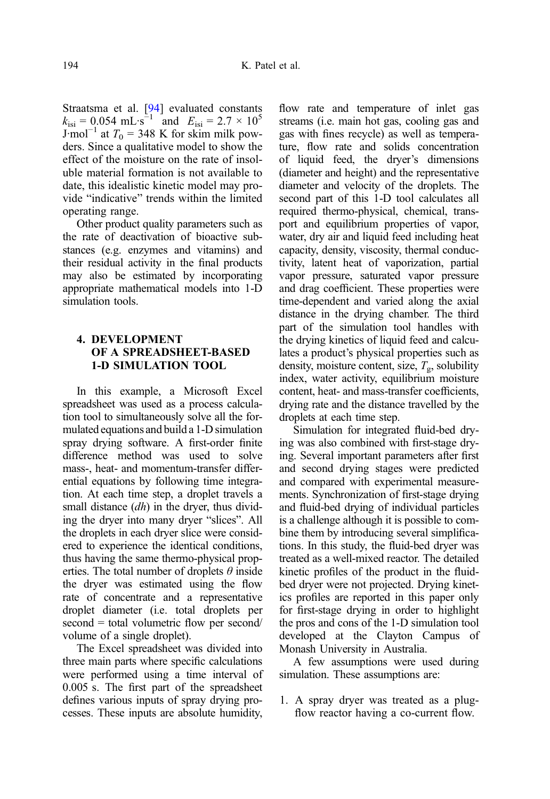Straatsma et al. [\[94](#page-26-0)] evaluated constants  $k_{\text{isi}} = 0.054 \text{ mL} \cdot \text{s}^{-1}$  and  $E_{\text{isi}} = 2.7 \times 10^5$ J·mol<sup>-1</sup> at  $T_0 = 348$  K for skim milk powders. Since a qualitative model to show the effect of the moisture on the rate of insoluble material formation is not available to date, this idealistic kinetic model may provide "indicative" trends within the limited operating range.

Other product quality parameters such as the rate of deactivation of bioactive substances (e.g. enzymes and vitamins) and their residual activity in the final products may also be estimated by incorporating appropriate mathematical models into 1-D simulation tools.

## 4. DEVELOPMENT OF A SPREADSHEET-BASED 1-D SIMULATION TOOL

In this example, a Microsoft Excel spreadsheet was used as a process calculation tool to simultaneously solve all the formulated equations and build a 1-D simulation spray drying software. A first-order finite difference method was used to solve mass-, heat- and momentum-transfer differential equations by following time integration. At each time step, a droplet travels a small distance *(dh)* in the dryer, thus dividing the dryer into many dryer "slices". All the droplets in each dryer slice were considered to experience the identical conditions, thus having the same thermo-physical properties. The total number of droplets  $\theta$  inside the dryer was estimated using the flow rate of concentrate and a representative droplet diameter (i.e. total droplets per second = total volumetric flow per second/ volume of a single droplet).

The Excel spreadsheet was divided into three main parts where specific calculations were performed using a time interval of 0.005 s. The first part of the spreadsheet defines various inputs of spray drying processes. These inputs are absolute humidity, flow rate and temperature of inlet gas streams (i.e. main hot gas, cooling gas and gas with fines recycle) as well as temperature, flow rate and solids concentration of liquid feed, the dryer's dimensions (diameter and height) and the representative diameter and velocity of the droplets. The second part of this 1-D tool calculates all required thermo-physical, chemical, transport and equilibrium properties of vapor, water, dry air and liquid feed including heat capacity, density, viscosity, thermal conductivity, latent heat of vaporization, partial vapor pressure, saturated vapor pressure and drag coefficient. These properties were time-dependent and varied along the axial distance in the drying chamber. The third part of the simulation tool handles with the drying kinetics of liquid feed and calculates a product's physical properties such as density, moisture content, size,  $T_{g}$ , solubility index, water activity, equilibrium moisture content, heat- and mass-transfer coefficients, drying rate and the distance travelled by the droplets at each time step.

Simulation for integrated fluid-bed drying was also combined with first-stage drying. Several important parameters after first and second drying stages were predicted and compared with experimental measurements. Synchronization of first-stage drying and fluid-bed drying of individual particles is a challenge although it is possible to combine them by introducing several simplifications. In this study, the fluid-bed dryer was treated as a well-mixed reactor. The detailed kinetic profiles of the product in the fluidbed dryer were not projected. Drying kinetics profiles are reported in this paper only for first-stage drying in order to highlight the pros and cons of the 1-D simulation tool developed at the Clayton Campus of Monash University in Australia.

A few assumptions were used during simulation. These assumptions are:

1. A spray dryer was treated as a plugflow reactor having a co-current flow.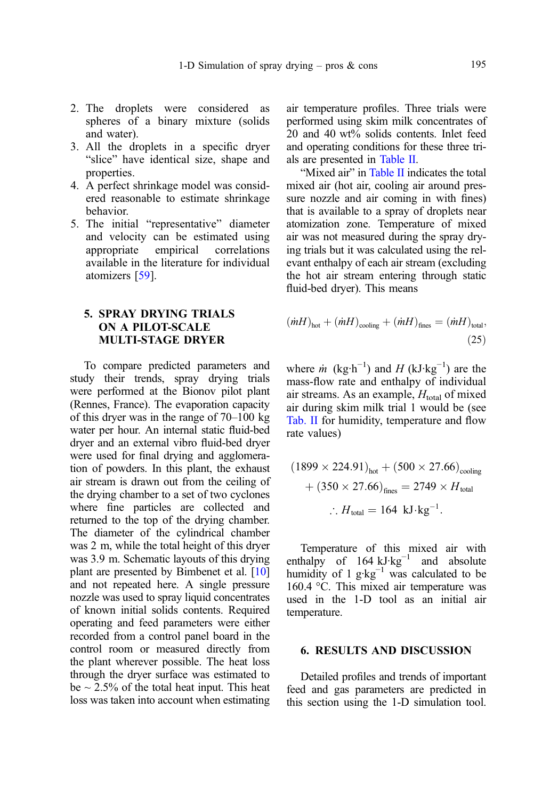- 2. The droplets were considered as spheres of a binary mixture (solids and water).
- 3. All the droplets in a specific dryer "slice" have identical size, shape and properties.
- 4. A perfect shrinkage model was considered reasonable to estimate shrinkage behavior.
- 5. The initial "representative" diameter and velocity can be estimated using appropriate empirical correlations available in the literature for individual atomizers [[59\]](#page-25-0).

## 5. SPRAY DRYING TRIALS ON A PILOT-SCALE MULTI-STAGE DRYER

To compare predicted parameters and study their trends, spray drying trials were performed at the Bionov pilot plant (Rennes, France). The evaporation capacity of this dryer was in the range of 70–100 kg water per hour. An internal static fluid-bed dryer and an external vibro fluid-bed dryer were used for final drying and agglomeration of powders. In this plant, the exhaust air stream is drawn out from the ceiling of the drying chamber to a set of two cyclones where fine particles are collected and returned to the top of the drying chamber. The diameter of the cylindrical chamber was 2 m, while the total height of this dryer was 3.9 m. Schematic layouts of this drying plant are presented by Bimbenet et al. [[10](#page-23-0)] and not repeated here. A single pressure nozzle was used to spray liquid concentrates of known initial solids contents. Required operating and feed parameters were either recorded from a control panel board in the control room or measured directly from the plant wherever possible. The heat loss through the dryer surface was estimated to be  $\sim$  2.5% of the total heat input. This heat loss was taken into account when estimating air temperature profiles. Three trials were performed using skim milk concentrates of 20 and 40 wt% solids contents. Inlet feed and operating conditions for these three trials are presented in [Table II.](#page-15-0)

"Mixed air" in [Table II](#page-15-0) indicates the total mixed air (hot air, cooling air around pressure nozzle and air coming in with fines) that is available to a spray of droplets near atomization zone. Temperature of mixed air was not measured during the spray drying trials but it was calculated using the relevant enthalpy of each air stream (excluding the hot air stream entering through static fluid-bed dryer). This means

$$
(\dot{m}H)_{\text{hot}} + (\dot{m}H)_{\text{cooling}} + (\dot{m}H)_{\text{fines}} = (\dot{m}H)_{\text{total}},
$$
\n(25)

where  $\dot{m}$  (kg·h<sup>-1</sup>) and H (kJ·kg<sup>-1</sup>) are the mass-flow rate and enthalpy of individual air streams. As an example,  $H_{total}$  of mixed air during skim milk trial 1 would be (see [Tab. II](#page-15-0) for humidity, temperature and flow rate values)

$$
(1899 \times 224.91)_{\text{hot}} + (500 \times 27.66)_{\text{cooling}}
$$

$$
+ (350 \times 27.66)_{\text{fines}} = 2749 \times H_{\text{total}}
$$

$$
\therefore H_{\text{total}} = 164 \text{ kJ} \cdot \text{kg}^{-1}.
$$

Temperature of this mixed air with enthalpy of  $164 \text{ kJ·kg}^{-1}$  and absolute humidity of 1 g·kg<sup> $-1$ </sup> was calculated to be 160.4 °C. This mixed air temperature was used in the 1-D tool as an initial air temperature.

## 6. RESULTS AND DISCUSSION

Detailed profiles and trends of important feed and gas parameters are predicted in this section using the 1-D simulation tool.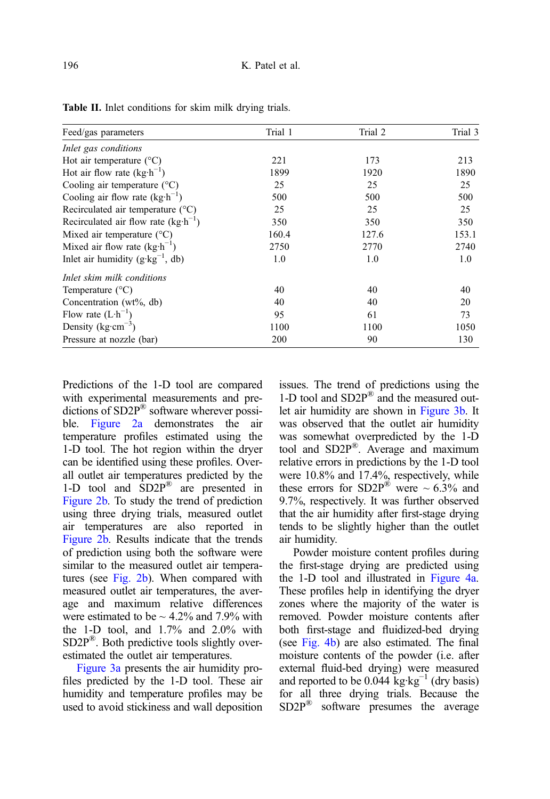| Feed/gas parameters                            | Trial 1 | Trial 2 | Trial 3 |
|------------------------------------------------|---------|---------|---------|
| Inlet gas conditions                           |         |         |         |
| Hot air temperature $(^{\circ}C)$              | 221     | 173     | 213     |
| Hot air flow rate $(kg \cdot h^{-1})$          | 1899    | 1920    | 1890    |
| Cooling air temperature $(^{\circ}C)$          | 25      | 25      | 25      |
| Cooling air flow rate $(kg \cdot h^{-1})$      | 500     | 500     | 500     |
| Recirculated air temperature $(^{\circ}C)$     | 25      | 25      | 25      |
| Recirculated air flow rate $(kg \cdot h^{-1})$ | 350     | 350     | 350     |
| Mixed air temperature $(^{\circ}C)$            | 160.4   | 127.6   | 153.1   |
| Mixed air flow rate $(kg \cdot h^{-1})$        | 2750    | 2770    | 2740    |
| Inlet air humidity $(g \cdot kg^{-1}, db)$     | 1.0     | 1.0     | 1.0     |
| Inlet skim milk conditions                     |         |         |         |
| Temperature $(^{\circ}C)$                      | 40      | 40      | 40      |
| Concentration ( $wt\%$ , db)                   | 40      | 40      | 20      |
| Flow rate $(L \cdot h^{-1})$                   | 95      | 61      | 73      |
| Density ( $kg \cdot cm^{-3}$ )                 | 1100    | 1100    | 1050    |
| Pressure at nozzle (bar)                       | 200     | 90      | 130     |

<span id="page-15-0"></span>Table II. Inlet conditions for skim milk drying trials.

Predictions of the 1-D tool are compared with experimental measurements and predictions of SD2P® software wherever possible. [Figure 2a](#page-16-0) demonstrates the air temperature profiles estimated using the 1-D tool. The hot region within the dryer can be identified using these profiles. Overall outlet air temperatures predicted by the 1-D tool and  $SD2P^®$  are presented in [Figure 2b](#page-16-0). To study the trend of prediction using three drying trials, measured outlet air temperatures are also reported in [Figure 2b](#page-16-0). Results indicate that the trends of prediction using both the software were similar to the measured outlet air temperatures (see [Fig. 2b\)](#page-16-0). When compared with measured outlet air temperatures, the average and maximum relative differences were estimated to be  $\sim$  4.2% and 7.9% with the 1-D tool, and 1.7% and 2.0% with  $SD2P^{\otimes}$ . Both predictive tools slightly overestimated the outlet air temperatures.

[Figure 3a](#page-17-0) presents the air humidity profiles predicted by the 1-D tool. These air humidity and temperature profiles may be used to avoid stickiness and wall deposition issues. The trend of predictions using the 1-D tool and SD2P® and the measured outlet air humidity are shown in [Figure 3b.](#page-17-0) It was observed that the outlet air humidity was somewhat overpredicted by the 1-D tool and SD2P®. Average and maximum relative errors in predictions by the 1-D tool were 10.8% and 17.4%, respectively, while these errors for SD2P<sup>®</sup> were ~ 6.3% and 9.7%, respectively. It was further observed that the air humidity after first-stage drying tends to be slightly higher than the outlet air humidity.

Powder moisture content profiles during the first-stage drying are predicted using the 1-D tool and illustrated in [Figure 4a](#page-18-0). These profiles help in identifying the dryer zones where the majority of the water is removed. Powder moisture contents after both first-stage and fluidized-bed drying (see [Fig. 4b\)](#page-18-0) are also estimated. The final moisture contents of the powder (i.e. after external fluid-bed drying) were measured and reported to be  $0.044 \text{ kg} \cdot \text{kg}^{-1}$  (dry basis) for all three drying trials. Because the SD2P® software presumes the average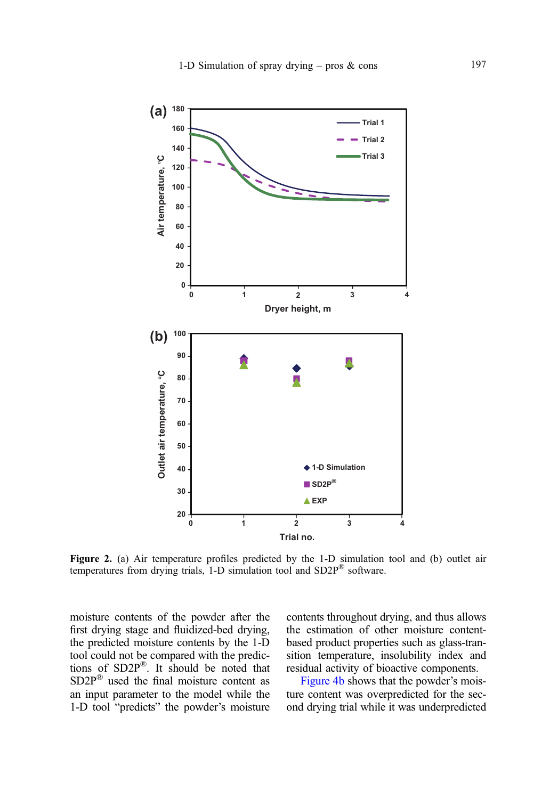<span id="page-16-0"></span>

Figure 2. (a) Air temperature profiles predicted by the 1-D simulation tool and (b) outlet air temperatures from drying trials, 1-D simulation tool and  $SD2P^{\otimes}$  software.

moisture contents of the powder after the first drying stage and fluidized-bed drying, the predicted moisture contents by the 1-D tool could not be compared with the predictions of SD2P®. It should be noted that  $SD2P^®$  used the final moisture content as an input parameter to the model while the 1-D tool "predicts" the powder's moisture contents throughout drying, and thus allows the estimation of other moisture contentbased product properties such as glass-transition temperature, insolubility index and residual activity of bioactive components.

[Figure 4b](#page-18-0) shows that the powder's moisture content was overpredicted for the second drying trial while it was underpredicted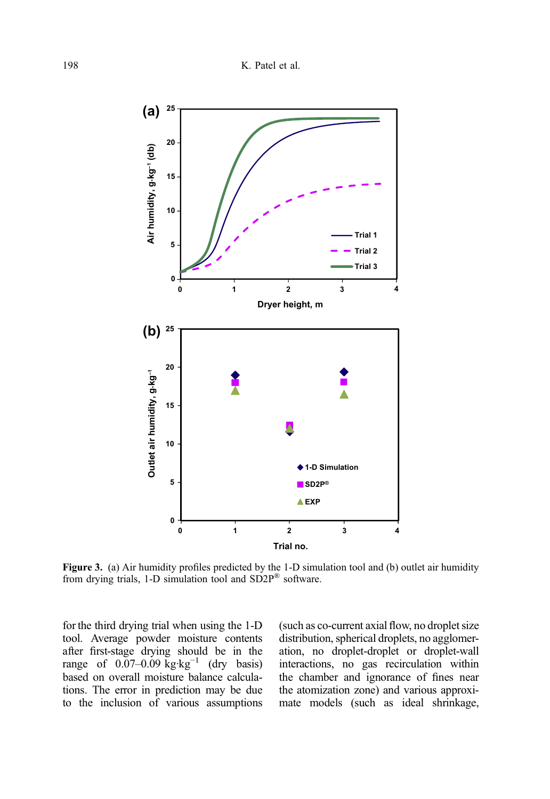<span id="page-17-0"></span>

Figure 3. (a) Air humidity profiles predicted by the 1-D simulation tool and (b) outlet air humidity from drying trials, 1-D simulation tool and SD2P® software.

for the third drying trial when using the 1-D tool. Average powder moisture contents after first-stage drying should be in the range of  $0.07-0.09$  kg·kg<sup>-1</sup> (dry basis) based on overall moisture balance calculations. The error in prediction may be due to the inclusion of various assumptions (such as co-current axial flow, no droplet size distribution, spherical droplets, no agglomeration, no droplet-droplet or droplet-wall interactions, no gas recirculation within the chamber and ignorance of fines near the atomization zone) and various approximate models (such as ideal shrinkage,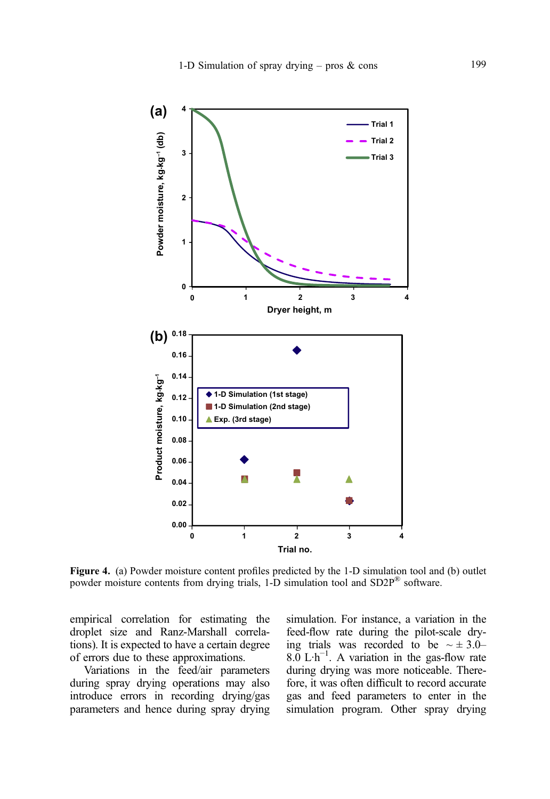<span id="page-18-0"></span>

Figure 4. (a) Powder moisture content profiles predicted by the 1-D simulation tool and (b) outlet powder moisture contents from drying trials, 1-D simulation tool and SD2P® software.

empirical correlation for estimating the droplet size and Ranz-Marshall correlations). It is expected to have a certain degree of errors due to these approximations.

Variations in the feed/air parameters during spray drying operations may also introduce errors in recording drying/gas parameters and hence during spray drying simulation. For instance, a variation in the feed-flow rate during the pilot-scale drying trials was recorded to be  $\sim \pm 3.0$  $8.0 \text{ L} \cdot \text{h}^{-1}$ . A variation in the gas-flow rate during drying was more noticeable. Therefore, it was often difficult to record accurate gas and feed parameters to enter in the simulation program. Other spray drying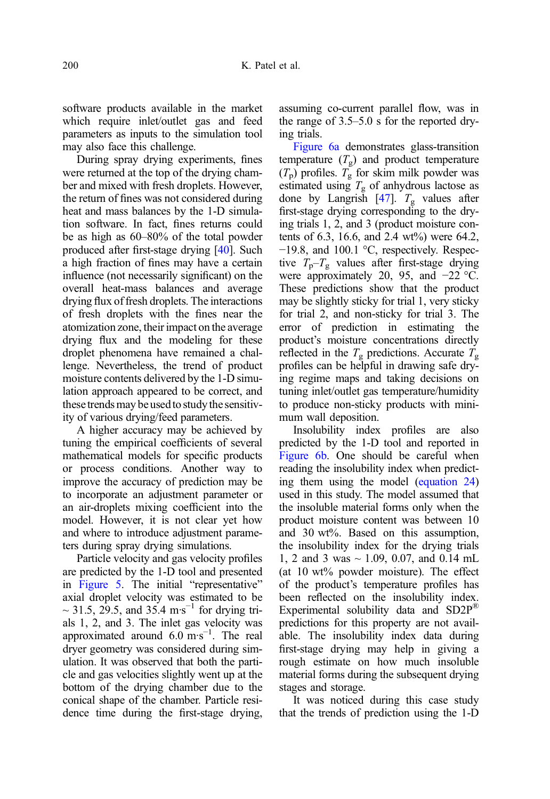software products available in the market which require inlet/outlet gas and feed parameters as inputs to the simulation tool may also face this challenge.

During spray drying experiments, fines were returned at the top of the drying chamber and mixed with fresh droplets. However, the return of fines was not considered during heat and mass balances by the 1-D simulation software. In fact, fines returns could be as high as 60–80% of the total powder produced after first-stage drying [\[40](#page-24-0)]. Such a high fraction of fines may have a certain influence (not necessarily significant) on the overall heat-mass balances and average drying flux of fresh droplets. The interactions of fresh droplets with the fines near the atomization zone, their impact on the average drying flux and the modeling for these droplet phenomena have remained a challenge. Nevertheless, the trend of product moisture contents delivered by the 1-D simulation approach appeared to be correct, and these trends may be used to study the sensitivity of various drying/feed parameters.

A higher accuracy may be achieved by tuning the empirical coefficients of several mathematical models for specific products or process conditions. Another way to improve the accuracy of prediction may be to incorporate an adjustment parameter or an air-droplets mixing coefficient into the model. However, it is not clear yet how and where to introduce adjustment parameters during spray drying simulations.

Particle velocity and gas velocity profiles are predicted by the 1-D tool and presented in [Figure 5](#page-20-0). The initial "representative" axial droplet velocity was estimated to be ~ 31.5, 29.5, and 35.4 m⋅s<sup>-1</sup> for drying trials 1, 2, and 3. The inlet gas velocity was approximated around  $6.0 \text{ m} \cdot \text{s}^{-1}$ . The real dryer geometry was considered during simulation. It was observed that both the particle and gas velocities slightly went up at the bottom of the drying chamber due to the conical shape of the chamber. Particle residence time during the first-stage drying,

assuming co-current parallel flow, was in the range of 3.5–5.0 s for the reported drying trials.

[Figure 6a](#page-21-0) demonstrates glass-transition temperature  $(T_g)$  and product temperature  $(T_p)$  profiles.  $T_g$  for skim milk powder was estimated using  $T_g$  of anhydrous lactose as done by Langrish [\[47](#page-25-0)].  $T<sub>g</sub>$  values after first-stage drying corresponding to the drying trials 1, 2, and 3 (product moisture contents of 6.3, 16.6, and 2.4 wt%) were 64.2, −19.8, and 100.1 °C, respectively. Respective  $T_p - T_g$  values after first-stage drying were approximately 20, 95, and −22 °C. These predictions show that the product may be slightly sticky for trial 1, very sticky for trial 2, and non-sticky for trial 3. The error of prediction in estimating the product's moisture concentrations directly reflected in the  $T_g$  predictions. Accurate  $T_g$ profiles can be helpful in drawing safe drying regime maps and taking decisions on tuning inlet/outlet gas temperature/humidity to produce non-sticky products with minimum wall deposition.

Insolubility index profiles are also predicted by the 1-D tool and reported in [Figure 6b.](#page-21-0) One should be careful when reading the insolubility index when predicting them using the model [\(equation 24](#page-12-0)) used in this study. The model assumed that the insoluble material forms only when the product moisture content was between 10 and 30 wt%. Based on this assumption, the insolubility index for the drying trials 1, 2 and 3 was ~ 1.09, 0.07, and 0.14 mL (at 10 wt% powder moisture). The effect of the product's temperature profiles has been reflected on the insolubility index. Experimental solubility data and SD2P<sup>®</sup> predictions for this property are not available. The insolubility index data during first-stage drying may help in giving a rough estimate on how much insoluble material forms during the subsequent drying stages and storage.

It was noticed during this case study that the trends of prediction using the 1-D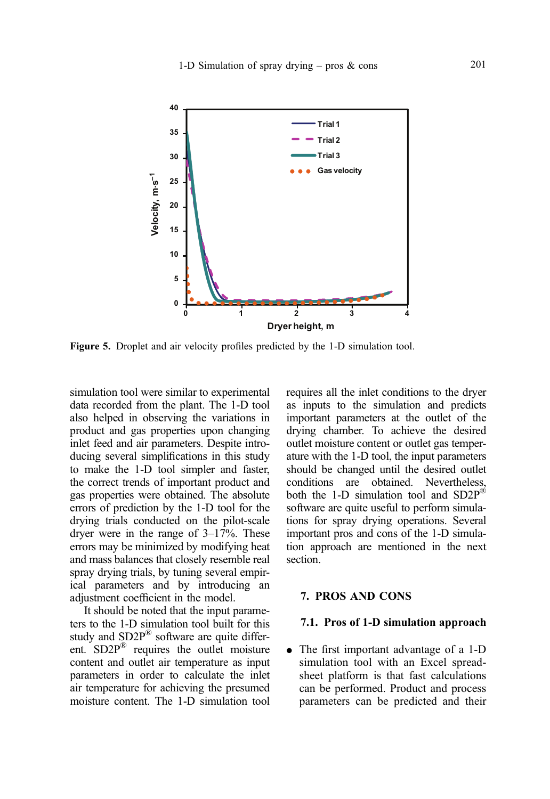<span id="page-20-0"></span>

Figure 5. Droplet and air velocity profiles predicted by the 1-D simulation tool.

simulation tool were similar to experimental data recorded from the plant. The 1-D tool also helped in observing the variations in product and gas properties upon changing inlet feed and air parameters. Despite introducing several simplifications in this study to make the 1-D tool simpler and faster, the correct trends of important product and gas properties were obtained. The absolute errors of prediction by the 1-D tool for the drying trials conducted on the pilot-scale dryer were in the range of 3–17%. These errors may be minimized by modifying heat and mass balances that closely resemble real spray drying trials, by tuning several empirical parameters and by introducing an adjustment coefficient in the model.

It should be noted that the input parameters to the 1-D simulation tool built for this study and SD2P® software are quite different. SD2P® requires the outlet moisture content and outlet air temperature as input parameters in order to calculate the inlet air temperature for achieving the presumed moisture content. The 1-D simulation tool requires all the inlet conditions to the dryer as inputs to the simulation and predicts important parameters at the outlet of the drying chamber. To achieve the desired outlet moisture content or outlet gas temperature with the 1-D tool, the input parameters should be changed until the desired outlet conditions are obtained. Nevertheless, both the 1-D simulation tool and SD2P® software are quite useful to perform simulations for spray drying operations. Several important pros and cons of the 1-D simulation approach are mentioned in the next section.

#### 7. PROS AND CONS

#### 7.1. Pros of 1-D simulation approach

• The first important advantage of a 1-D simulation tool with an Excel spreadsheet platform is that fast calculations can be performed. Product and process parameters can be predicted and their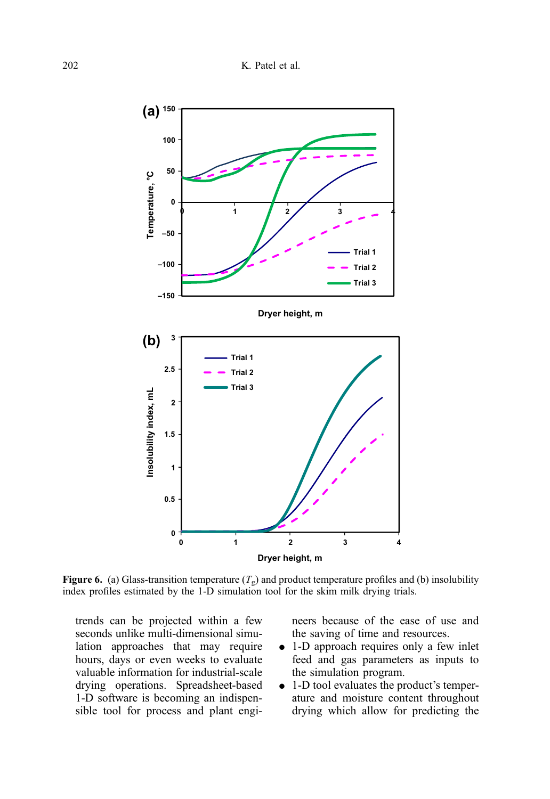<span id="page-21-0"></span>

**Figure 6.** (a) Glass-transition temperature  $(T<sub>e</sub>)$  and product temperature profiles and (b) insolubility index profiles estimated by the 1-D simulation tool for the skim milk drying trials.

trends can be projected within a few seconds unlike multi-dimensional simulation approaches that may require hours, days or even weeks to evaluate valuable information for industrial-scale drying operations. Spreadsheet-based 1-D software is becoming an indispensible tool for process and plant engineers because of the ease of use and the saving of time and resources.

- 1-D approach requires only a few inlet feed and gas parameters as inputs to the simulation program.
- 1-D tool evaluates the product's temperature and moisture content throughout drying which allow for predicting the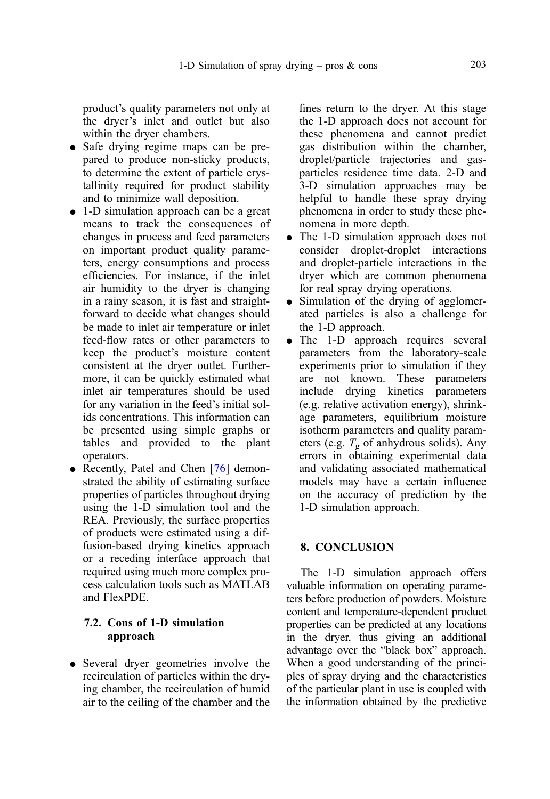product's quality parameters not only at the dryer's inlet and outlet but also within the dryer chambers.

- Safe drying regime maps can be prepared to produce non-sticky products, to determine the extent of particle crystallinity required for product stability and to minimize wall deposition.
- 1-D simulation approach can be a great means to track the consequences of changes in process and feed parameters on important product quality parameters, energy consumptions and process efficiencies. For instance, if the inlet air humidity to the dryer is changing in a rainy season, it is fast and straightforward to decide what changes should be made to inlet air temperature or inlet feed-flow rates or other parameters to keep the product's moisture content consistent at the dryer outlet. Furthermore, it can be quickly estimated what inlet air temperatures should be used for any variation in the feed's initial solids concentrations. This information can be presented using simple graphs or tables and provided to the plant operators.
- Recently, Patel and Chen [\[76](#page-26-0)] demonstrated the ability of estimating surface properties of particles throughout drying using the 1-D simulation tool and the REA. Previously, the surface properties of products were estimated using a diffusion-based drying kinetics approach or a receding interface approach that required using much more complex process calculation tools such as MATLAB and FlexPDE.

## 7.2. Cons of 1-D simulation approach

• Several dryer geometries involve the recirculation of particles within the drying chamber, the recirculation of humid air to the ceiling of the chamber and the fines return to the dryer. At this stage the 1-D approach does not account for these phenomena and cannot predict gas distribution within the chamber, droplet/particle trajectories and gasparticles residence time data. 2-D and 3-D simulation approaches may be helpful to handle these spray drying phenomena in order to study these phenomena in more depth.

- The 1-D simulation approach does not consider droplet-droplet interactions and droplet-particle interactions in the dryer which are common phenomena for real spray drying operations.
- Simulation of the drying of agglomerated particles is also a challenge for the 1-D approach.
- The 1-D approach requires several parameters from the laboratory-scale experiments prior to simulation if they are not known. These parameters include drying kinetics parameters (e.g. relative activation energy), shrinkage parameters, equilibrium moisture isotherm parameters and quality parameters (e.g.  $T_{\sigma}$  of anhydrous solids). Any errors in obtaining experimental data and validating associated mathematical models may have a certain influence on the accuracy of prediction by the 1-D simulation approach.

#### 8. CONCLUSION

The 1-D simulation approach offers valuable information on operating parameters before production of powders. Moisture content and temperature-dependent product properties can be predicted at any locations in the dryer, thus giving an additional advantage over the "black box" approach. When a good understanding of the principles of spray drying and the characteristics of the particular plant in use is coupled with the information obtained by the predictive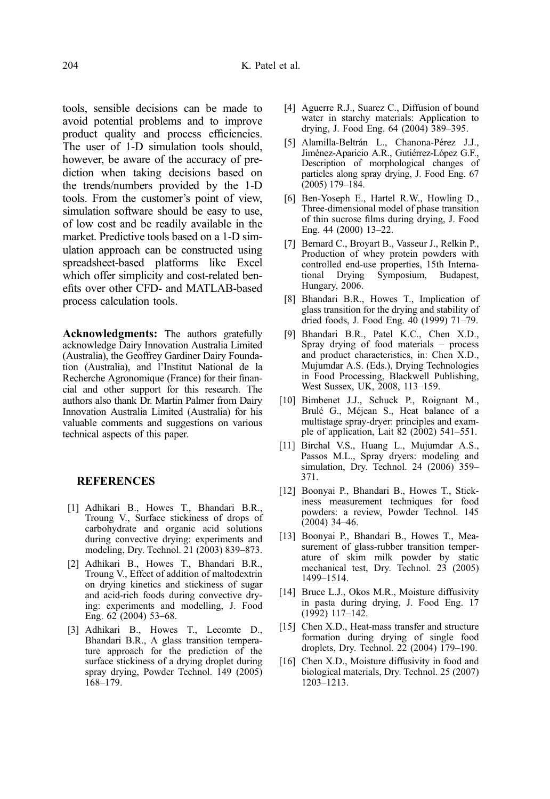<span id="page-23-0"></span>tools, sensible decisions can be made to avoid potential problems and to improve product quality and process efficiencies. The user of 1-D simulation tools should, however, be aware of the accuracy of prediction when taking decisions based on the trends/numbers provided by the 1-D tools. From the customer's point of view, simulation software should be easy to use, of low cost and be readily available in the market. Predictive tools based on a 1-D simulation approach can be constructed using spreadsheet-based platforms like Excel which offer simplicity and cost-related benefits over other CFD- and MATLAB-based process calculation tools.

Acknowledgments: The authors gratefully acknowledge Dairy Innovation Australia Limited (Australia), the Geoffrey Gardiner Dairy Foundation (Australia), and l'Institut National de la Recherche Agronomique (France) for their financial and other support for this research. The authors also thank Dr. Martin Palmer from Dairy Innovation Australia Limited (Australia) for his valuable comments and suggestions on various technical aspects of this paper.

#### **REFERENCES**

- [1] Adhikari B., Howes T., Bhandari B.R., Troung V., Surface stickiness of drops of carbohydrate and organic acid solutions during convective drying: experiments and modeling, Dry. Technol. 21 (2003) 839–873.
- [2] Adhikari B., Howes T., Bhandari B.R., Troung V., Effect of addition of maltodextrin on drying kinetics and stickiness of sugar and acid-rich foods during convective drying: experiments and modelling, J. Food Eng. 62 (2004) 53–68.
- [3] Adhikari B., Howes T., Lecomte D., Bhandari B.R., A glass transition temperature approach for the prediction of the surface stickiness of a drying droplet during spray drying, Powder Technol. 149 (2005) 168–179.
- [4] Aguerre R.J., Suarez C., Diffusion of bound water in starchy materials: Application to drying, J. Food Eng. 64 (2004) 389–395.
- [5] Alamilla-Beltrán L., Chanona-Pérez J.J., Jiménez-Aparicio A.R., Gutiérrez-López G.F., Description of morphological changes of particles along spray drying, J. Food Eng. 67 (2005) 179–184.
- [6] Ben-Yoseph E., Hartel R.W., Howling D., Three-dimensional model of phase transition of thin sucrose films during drying, J. Food Eng. 44 (2000) 13–22.
- [7] Bernard C., Broyart B., Vasseur J., Relkin P., Production of whey protein powders with controlled end-use properties, 15th International Drying Symposium, Budapest, Hungary, 2006.
- [8] Bhandari B.R., Howes T., Implication of glass transition for the drying and stability of dried foods, J. Food Eng. 40 (1999) 71–79.
- [9] Bhandari B.R., Patel K.C., Chen X.D., Spray drying of food materials – process and product characteristics, in: Chen X.D., Mujumdar A.S. (Eds.), Drying Technologies in Food Processing, Blackwell Publishing, West Sussex, UK, 2008, 113–159.
- [10] Bimbenet J.J., Schuck P., Roignant M., Brulé G., Méjean S., Heat balance of a multistage spray-dryer: principles and example of application, Lait 82 (2002) 541–551.
- [11] Birchal V.S., Huang L., Mujumdar A.S., Passos M.L., Spray dryers: modeling and simulation, Dry. Technol. 24 (2006) 359– 371.
- [12] Boonyai P., Bhandari B., Howes T., Stickiness measurement techniques for food powders: a review, Powder Technol. 145  $(2004)$  34–46.
- [13] Boonyai P., Bhandari B., Howes T., Measurement of glass-rubber transition temperature of skim milk powder by static mechanical test, Dry. Technol. 23 (2005) 1499–1514.
- [14] Bruce L.J., Okos M.R., Moisture diffusivity in pasta during drying, J. Food Eng. 17 (1992) 117–142.
- [15] Chen X.D., Heat-mass transfer and structure formation during drying of single food droplets, Dry. Technol. 22 (2004) 179–190.
- [16] Chen X.D., Moisture diffusivity in food and biological materials, Dry. Technol. 25 (2007) 1203–1213.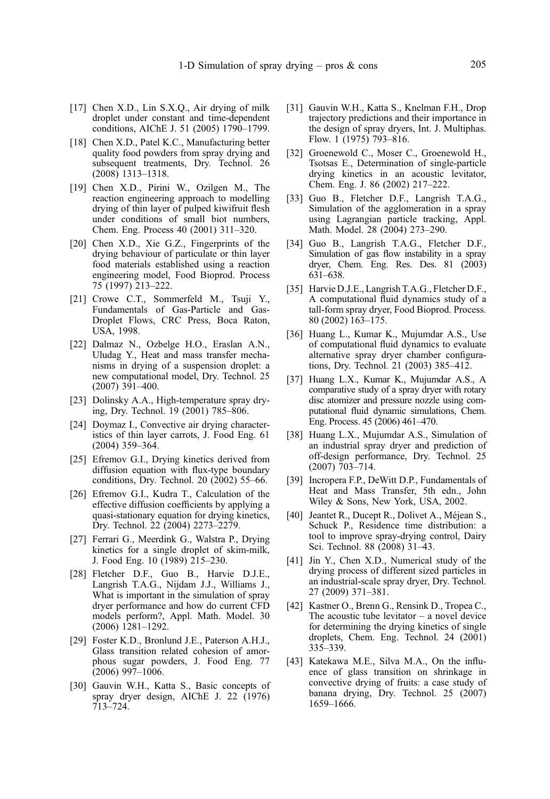- <span id="page-24-0"></span>[17] Chen X.D., Lin S.X.O., Air drying of milk droplet under constant and time-dependent conditions, AIChE J. 51 (2005) 1790–1799.
- [18] Chen X.D., Patel K.C., Manufacturing better quality food powders from spray drying and subsequent treatments, Dry. Technol. 26 (2008) 1313–1318.
- [19] Chen X.D., Pirini W., Ozilgen M., The reaction engineering approach to modelling drying of thin layer of pulped kiwifruit flesh under conditions of small biot numbers, Chem. Eng. Process 40 (2001) 311–320.
- [20] Chen X.D., Xie G.Z., Fingerprints of the drying behaviour of particulate or thin layer food materials established using a reaction engineering model, Food Bioprod. Process 75 (1997) 213–222.
- [21] Crowe C.T., Sommerfeld M., Tsuji Y., Fundamentals of Gas-Particle and Gas-Droplet Flows, CRC Press, Boca Raton, USA, 1998.
- [22] Dalmaz N., Ozbelge H.O., Eraslan A.N., Uludag Y., Heat and mass transfer mechanisms in drying of a suspension droplet: a new computational model, Dry. Technol. 25 (2007) 391–400.
- [23] Dolinsky A.A., High-temperature spray drying, Dry. Technol. 19 (2001) 785–806.
- [24] Doymaz I., Convective air drying characteristics of thin layer carrots, J. Food Eng. 61 (2004) 359–364.
- [25] Efremov G.I., Drying kinetics derived from diffusion equation with flux-type boundary conditions, Dry. Technol. 20 (2002) 55–66.
- [26] Efremov G.I., Kudra T., Calculation of the effective diffusion coefficients by applying a quasi-stationary equation for drying kinetics, Dry. Technol. 22 (2004) 2273–2279.
- [27] Ferrari G., Meerdink G., Walstra P., Drying kinetics for a single droplet of skim-milk, J. Food Eng. 10 (1989) 215–230.
- [28] Fletcher D.F., Guo B., Harvie D.J.E., Langrish T.A.G., Nijdam J.J., Williams J., What is important in the simulation of spray dryer performance and how do current CFD models perform?, Appl. Math. Model. 30 (2006) 1281–1292.
- [29] Foster K.D., Bronlund J.E., Paterson A.H.J., Glass transition related cohesion of amorphous sugar powders, J. Food Eng. 77  $(2006)$  997-1006.
- [30] Gauvin W.H., Katta S., Basic concepts of spray dryer design, AIChE J. 22 (1976) 713–724.
- [31] Gauvin W.H., Katta S., Knelman F.H., Drop trajectory predictions and their importance in the design of spray dryers, Int. J. Multiphas. Flow. 1 (1975) 793–816.
- [32] Groenewold C., Moser C., Groenewold H., Tsotsas E., Determination of single-particle drying kinetics in an acoustic levitator, Chem. Eng. J. 86 (2002) 217–222.
- [33] Guo B., Fletcher D.F., Langrish T.A.G., Simulation of the agglomeration in a spray using Lagrangian particle tracking, Appl. Math. Model. 28 (2004) 273–290.
- [34] Guo B., Langrish T.A.G., Fletcher D.F., Simulation of gas flow instability in a spray dryer, Chem. Eng. Res. Des. 81 (2003) 631–638.
- [35] Harvie D.J.E., Langrish T.A.G., Fletcher D.F., A computational fluid dynamics study of a tall-form spray dryer, Food Bioprod. Process. 80 (2002) 163–175.
- [36] Huang L., Kumar K., Mujumdar A.S., Use of computational fluid dynamics to evaluate alternative spray dryer chamber configurations, Dry. Technol. 21 (2003) 385–412.
- [37] Huang L.X., Kumar K., Mujumdar A.S., A comparative study of a spray dryer with rotary disc atomizer and pressure nozzle using computational fluid dynamic simulations, Chem. Eng. Process. 45 (2006) 461–470.
- [38] Huang L.X., Mujumdar A.S., Simulation of an industrial spray dryer and prediction of off-design performance, Dry. Technol. 25 (2007) 703–714.
- [39] Incropera F.P., DeWitt D.P., Fundamentals of Heat and Mass Transfer, 5th edn., John Wiley & Sons, New York, USA, 2002.
- [40] Jeantet R., Ducept R., Dolivet A., Méjean S., Schuck P., Residence time distribution: a tool to improve spray-drying control, Dairy Sci. Technol. 88 (2008) 31–43.
- [41] Jin Y., Chen X.D., Numerical study of the drying process of different sized particles in an industrial-scale spray dryer, Dry. Technol. 27 (2009) 371–381.
- [42] Kastner O., Brenn G., Rensink D., Tropea C., The acoustic tube levitator – a novel device for determining the drying kinetics of single droplets, Chem. Eng. Technol. 24 (2001) 335–339.
- [43] Katekawa M.E., Silva M.A., On the influence of glass transition on shrinkage in convective drying of fruits: a case study of banana drying, Dry. Technol. 25 (2007) 1659–1666.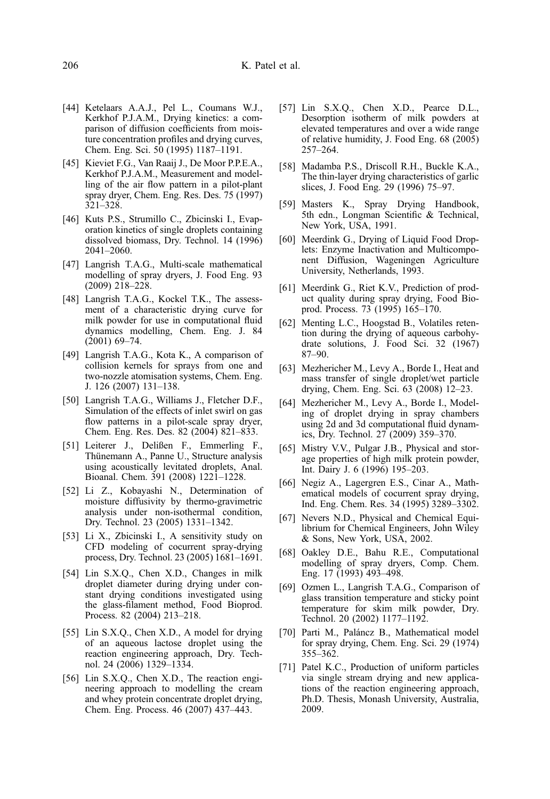- <span id="page-25-0"></span>[44] Ketelaars A.A.J., Pel L., Coumans W.J., Kerkhof P.J.A.M., Drying kinetics: a comparison of diffusion coefficients from moisture concentration profiles and drying curves, Chem. Eng. Sci. 50 (1995) 1187–1191.
- [45] Kieviet F.G., Van Raaij J., De Moor P.P.E.A., Kerkhof P.J.A.M., Measurement and modelling of the air flow pattern in a pilot-plant spray dryer, Chem. Eng. Res. Des. 75 (1997) 321–328.
- [46] Kuts P.S., Strumillo C., Zbicinski I., Evaporation kinetics of single droplets containing dissolved biomass, Dry. Technol. 14 (1996) 2041–2060.
- [47] Langrish T.A.G., Multi-scale mathematical modelling of spray dryers, J. Food Eng. 93 (2009) 218–228.
- [48] Langrish T.A.G., Kockel T.K., The assessment of a characteristic drying curve for milk powder for use in computational fluid dynamics modelling, Chem. Eng. J. 84 (2001) 69–74.
- [49] Langrish T.A.G., Kota K., A comparison of collision kernels for sprays from one and two-nozzle atomisation systems, Chem. Eng. J. 126 (2007) 131–138.
- [50] Langrish T.A.G., Williams J., Fletcher D.F., Simulation of the effects of inlet swirl on gas flow patterns in a pilot-scale spray dryer, Chem. Eng. Res. Des. 82 (2004) 821–833.
- [51] Leiterer J., Delißen F., Emmerling F., Thünemann A., Panne U., Structure analysis using acoustically levitated droplets, Anal. Bioanal. Chem. 391 (2008) 1221–1228.
- [52] Li Z., Kobayashi N., Determination of moisture diffusivity by thermo-gravimetric analysis under non-isothermal condition, Dry. Technol. 23 (2005) 1331–1342.
- [53] Li X., Zbicinski I., A sensitivity study on CFD modeling of cocurrent spray-drying process, Dry. Technol. 23 (2005) 1681–1691.
- [54] Lin S.X.Q., Chen X.D., Changes in milk droplet diameter during drying under constant drying conditions investigated using the glass-filament method, Food Bioprod. Process. 82 (2004) 213–218.
- [55] Lin S.X.Q., Chen X.D., A model for drying of an aqueous lactose droplet using the reaction engineering approach, Dry. Technol. 24 (2006) 1329–1334.
- [56] Lin S.X.Q., Chen X.D., The reaction engineering approach to modelling the cream and whey protein concentrate droplet drying, Chem. Eng. Process. 46 (2007) 437–443.
- [57] Lin S.X.Q., Chen X.D., Pearce D.L., Desorption isotherm of milk powders at elevated temperatures and over a wide range of relative humidity, J. Food Eng. 68 (2005) 257–264.
- [58] Madamba P.S., Driscoll R.H., Buckle K.A., The thin-layer drying characteristics of garlic slices, J. Food Eng. 29 (1996) 75–97.
- [59] Masters K., Spray Drying Handbook, 5th edn., Longman Scientific & Technical, New York, USA, 1991.
- [60] Meerdink G., Drying of Liquid Food Droplets: Enzyme Inactivation and Multicomponent Diffusion, Wageningen Agriculture University, Netherlands, 1993.
- [61] Meerdink G., Riet K.V., Prediction of product quality during spray drying, Food Bioprod. Process. 73 (1995) 165–170.
- [62] Menting L.C., Hoogstad B., Volatiles retention during the drying of aqueous carbohydrate solutions, J. Food Sci. 32 (1967) 87–90.
- [63] Mezhericher M., Levy A., Borde I., Heat and mass transfer of single droplet/wet particle drying, Chem. Eng. Sci. 63 (2008) 12–23.
- [64] Mezhericher M., Levy A., Borde I., Modeling of droplet drying in spray chambers using 2d and 3d computational fluid dynamics, Dry. Technol. 27 (2009) 359–370.
- [65] Mistry V.V., Pulgar J.B., Physical and storage properties of high milk protein powder, Int. Dairy J. 6 (1996) 195–203.
- [66] Negiz A., Lagergren E.S., Cinar A., Mathematical models of cocurrent spray drying, Ind. Eng. Chem. Res. 34 (1995) 3289–3302.
- [67] Nevers N.D., Physical and Chemical Equilibrium for Chemical Engineers, John Wiley & Sons, New York, USA, 2002.
- [68] Oakley D.E., Bahu R.E., Computational modelling of spray dryers, Comp. Chem. Eng. 17 (1993) 493–498.
- [69] Ozmen L., Langrish T.A.G., Comparison of glass transition temperature and sticky point temperature for skim milk powder, Dry. Technol. 20 (2002) 1177–1192.
- [70] Parti M., Paláncz B., Mathematical model for spray drying, Chem. Eng. Sci. 29 (1974) 355–362.
- [71] Patel K.C., Production of uniform particles via single stream drying and new applications of the reaction engineering approach, Ph.D. Thesis, Monash University, Australia, 2009.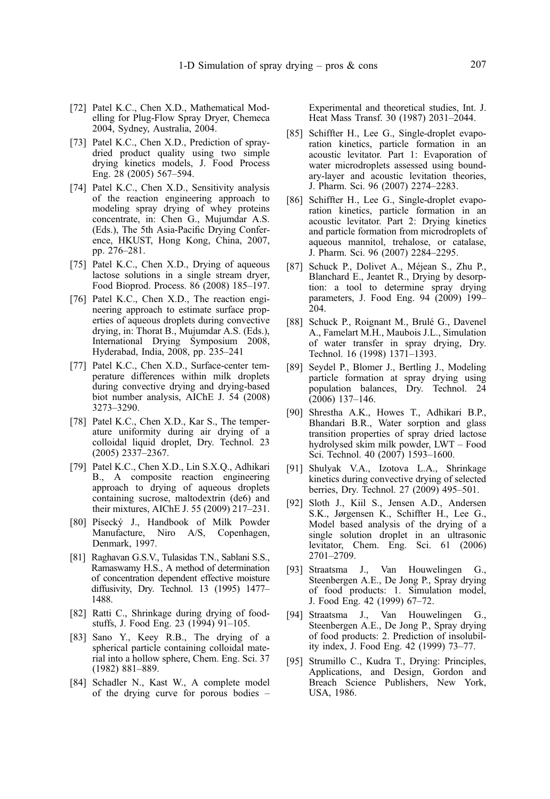- <span id="page-26-0"></span>[72] Patel K.C., Chen X.D., Mathematical Modelling for Plug-Flow Spray Dryer, Chemeca 2004, Sydney, Australia, 2004.
- [73] Patel K.C., Chen X.D., Prediction of spraydried product quality using two simple drying kinetics models, J. Food Process Eng. 28 (2005) 567–594.
- [74] Patel K.C., Chen X.D., Sensitivity analysis of the reaction engineering approach to modeling spray drying of whey proteins concentrate, in: Chen G., Mujumdar A.S. (Eds.), The 5th Asia-Pacific Drying Conference, HKUST, Hong Kong, China, 2007, pp. 276–281.
- [75] Patel K.C., Chen X.D., Drying of aqueous lactose solutions in a single stream dryer, Food Bioprod. Process. 86 (2008) 185–197.
- [76] Patel K.C., Chen X.D., The reaction engineering approach to estimate surface properties of aqueous droplets during convective drying, in: Thorat B., Mujumdar A.S. (Eds.), International Drying Symposium 2008, Hyderabad, India, 2008, pp. 235–241
- [77] Patel K.C., Chen X.D., Surface-center temperature differences within milk droplets during convective drying and drying-based biot number analysis, AIChE J. 54 (2008) 3273–3290.
- [78] Patel K.C., Chen X.D., Kar S., The temperature uniformity during air drying of a colloidal liquid droplet, Dry. Technol. 23 (2005) 2337–2367.
- [79] Patel K.C., Chen X.D., Lin S.X.Q., Adhikari B., A composite reaction engineering approach to drying of aqueous droplets containing sucrose, maltodextrin (de6) and their mixtures, AIChE J. 55 (2009) 217–231.
- [80] Písecký J., Handbook of Milk Powder Manufacture, Niro A/S, Copenhagen, Denmark, 1997.
- [81] Raghavan G.S.V., Tulasidas T.N., Sablani S.S., Ramaswamy H.S., A method of determination of concentration dependent effective moisture diffusivity, Dry. Technol. 13 (1995) 1477– 1488.
- [82] Ratti C., Shrinkage during drying of foodstuffs, J. Food Eng. 23 (1994) 91–105.
- [83] Sano Y., Keey R.B., The drying of a spherical particle containing colloidal material into a hollow sphere, Chem. Eng. Sci. 37 (1982) 881–889.
- [84] Schadler N., Kast W., A complete model of the drying curve for porous bodies –

Experimental and theoretical studies, Int. J. Heat Mass Transf. 30 (1987) 2031–2044.

- [85] Schiffter H., Lee G., Single-droplet evaporation kinetics, particle formation in an acoustic levitator. Part 1: Evaporation of water microdroplets assessed using boundary-layer and acoustic levitation theories, J. Pharm. Sci. 96 (2007) 2274–2283.
- [86] Schiffter H., Lee G., Single-droplet evaporation kinetics, particle formation in an acoustic levitator. Part 2: Drying kinetics and particle formation from microdroplets of aqueous mannitol, trehalose, or catalase, J. Pharm. Sci. 96 (2007) 2284–2295.
- [87] Schuck P., Dolivet A., Méjean S., Zhu P., Blanchard E., Jeantet R., Drying by desorption: a tool to determine spray drying parameters, J. Food Eng. 94 (2009) 199– 204.
- [88] Schuck P., Roignant M., Brulé G., Davenel A., Famelart M.H., Maubois J.L., Simulation of water transfer in spray drying, Dry. Technol. 16 (1998) 1371–1393.
- [89] Seydel P., Blomer J., Bertling J., Modeling particle formation at spray drying using population balances, Dry. Technol. 24 (2006) 137–146.
- [90] Shrestha A.K., Howes T., Adhikari B.P., Bhandari B.R., Water sorption and glass transition properties of spray dried lactose hydrolysed skim milk powder, LWT – Food Sci. Technol. 40 (2007) 1593–1600.
- [91] Shulyak V.A., Izotova L.A., Shrinkage kinetics during convective drying of selected berries, Dry. Technol. 27 (2009) 495–501.
- [92] Sloth J., Kiil S., Jensen A.D., Andersen S.K., Jørgensen K., Schiffter H., Lee G., Model based analysis of the drying of a single solution droplet in an ultrasonic levitator, Chem. Eng. Sci. 61 (2006) 2701–2709.
- [93] Straatsma J., Van Houwelingen G., Steenbergen A.E., De Jong P., Spray drying of food products: 1. Simulation model, J. Food Eng. 42 (1999) 67–72.
- [94] Straatsma J., Van Houwelingen G., Steenbergen A.E., De Jong P., Spray drying of food products: 2. Prediction of insolubility index, J. Food Eng. 42 (1999) 73–77.
- [95] Strumillo C., Kudra T., Drying: Principles, Applications, and Design, Gordon and Breach Science Publishers, New York, USA, 1986.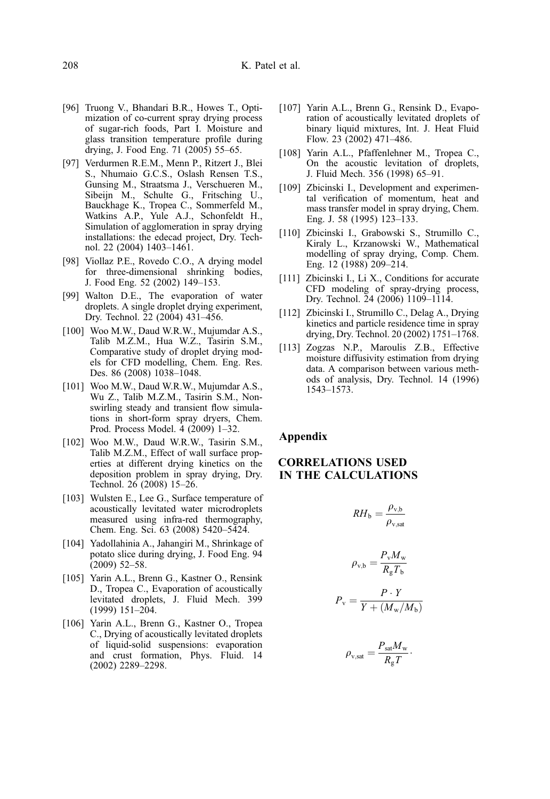- <span id="page-27-0"></span>[96] Truong V., Bhandari B.R., Howes T., Optimization of co-current spray drying process of sugar-rich foods, Part I. Moisture and glass transition temperature profile during drying, J. Food Eng. 71 (2005) 55–65.
- [97] Verdurmen R.E.M., Menn P., Ritzert J., Blei S., Nhumaio G.C.S., Oslash Rensen T.S., Gunsing M., Straatsma J., Verschueren M., Sibeijn M., Schulte G., Fritsching U., Bauckhage K., Tropea C., Sommerfeld M., Watkins A.P., Yule A.J., Schonfeldt H., Simulation of agglomeration in spray drying installations: the edecad project, Dry. Technol. 22 (2004) 1403–1461.
- [98] Viollaz P.E., Rovedo C.O., A drying model for three-dimensional shrinking bodies, J. Food Eng. 52 (2002) 149–153.
- [99] Walton D.E., The evaporation of water droplets. A single droplet drying experiment, Dry. Technol. 22 (2004) 431–456.
- [100] Woo M.W., Daud W.R.W., Mujumdar A.S., Talib M.Z.M., Hua W.Z., Tasirin S.M., Comparative study of droplet drying models for CFD modelling, Chem. Eng. Res. Des. 86 (2008)  $1038 - 1048$ .
- [101] Woo M.W., Daud W.R.W., Mujumdar A.S., Wu Z., Talib M.Z.M., Tasirin S.M., Nonswirling steady and transient flow simulations in short-form spray dryers, Chem. Prod. Process Model. 4 (2009) 1–32.
- [102] Woo M.W., Daud W.R.W., Tasirin S.M., Talib M.Z.M., Effect of wall surface properties at different drying kinetics on the deposition problem in spray drying, Dry. Technol. 26 (2008) 15–26.
- [103] Wulsten E., Lee G., Surface temperature of acoustically levitated water microdroplets measured using infra-red thermography, Chem. Eng. Sci. 63 (2008) 5420–5424.
- [104] Yadollahinia A., Jahangiri M., Shrinkage of potato slice during drying, J. Food Eng. 94 (2009) 52–58.
- [105] Yarin A.L., Brenn G., Kastner O., Rensink D., Tropea C., Evaporation of acoustically levitated droplets, J. Fluid Mech. 399 (1999) 151–204.
- [106] Yarin A.L., Brenn G., Kastner O., Tropea C., Drying of acoustically levitated droplets of liquid-solid suspensions: evaporation and crust formation, Phys. Fluid. 14 (2002) 2289–2298.
- [107] Yarin A.L., Brenn G., Rensink D., Evaporation of acoustically levitated droplets of binary liquid mixtures, Int. J. Heat Fluid Flow. 23 (2002) 471–486.
- [108] Yarin A.L., Pfaffenlehner M., Tropea C., On the acoustic levitation of droplets, J. Fluid Mech. 356 (1998) 65–91.
- [109] Zbicinski I., Development and experimental verification of momentum, heat and mass transfer model in spray drying, Chem. Eng. J. 58 (1995) 123–133.
- [110] Zbicinski I., Grabowski S., Strumillo C., Kiraly L., Krzanowski W., Mathematical modelling of spray drying, Comp. Chem. Eng. 12 (1988) 209–214.
- [111] Zbicinski I., Li X., Conditions for accurate CFD modeling of spray-drying process, Dry. Technol. 24 (2006) 1109–1114.
- [112] Zbicinski I., Strumillo C., Delag A., Drying kinetics and particle residence time in spray drying, Dry. Technol. 20 (2002) 1751–1768.
- [113] Zogzas N.P., Maroulis Z.B., Effective moisture diffusivity estimation from drying data. A comparison between various methods of analysis, Dry. Technol. 14 (1996) 1543–1573.

#### Appendix

#### CORRELATIONS USED IN THE CALCULATIONS

$$
RH_{\mathbf{b}} = \frac{\rho_{\mathbf{v},\mathbf{b}}}{\rho_{\mathbf{v},\mathbf{sat}}}
$$

$$
\rho_{\rm v,b} = \frac{P_{\rm v} M_{\rm w}}{R_{\rm g} T_{\rm b}}
$$

$$
P_{\rm v} = \frac{P \cdot Y}{Y + (M_{\rm w}/M_{\rm b})}
$$

$$
\rho_{\rm v,sat} = \frac{P_{\rm sat} M_{\rm w}}{R_{\rm g} T}.
$$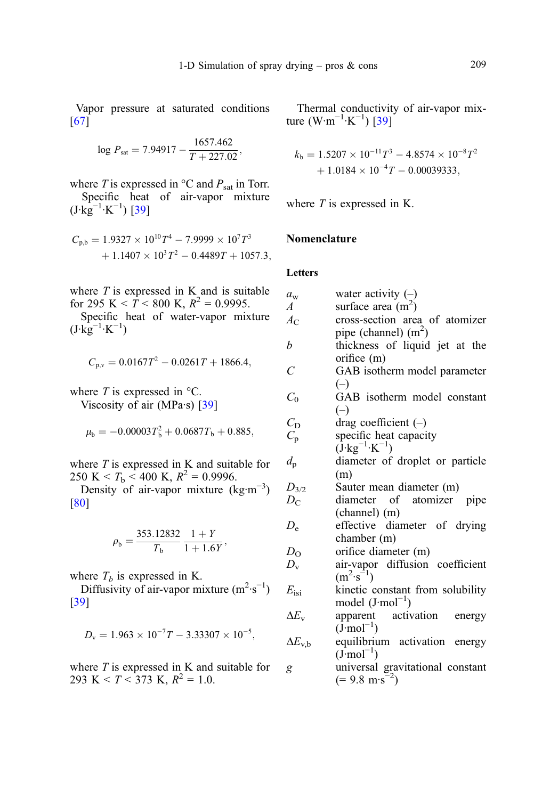Vapor pressure at saturated conditions [[67\]](#page-25-0)

$$
\log P_{\text{sat}} = 7.94917 - \frac{1657.462}{T + 227.02},
$$

where  $T$  is expressed in  $\mathrm{C}$  and  $P_{\mathrm{sat}}$  in Torr.

Specific heat of air-vapor mixture  $(J \cdot kg^{-1} \cdot K^{-1})$  [\[39](#page-24-0)]

$$
C_{p,b} = 1.9327 \times 10^{10} T^4 - 7.9999 \times 10^7 T^3
$$
  
+ 1.1407 \times 10<sup>3</sup> T<sup>2</sup> - 0.4489T + 1057.3,

where  $T$  is expressed in K and is suitable for 295 K  $\leq T \leq 800$  K,  $R^2 = 0.9995$ .

Specific heat of water-vapor mixture  $(J \cdot kg^{-1} \cdot K^{-1})$ 

$$
C_{p,v} = 0.0167T^2 - 0.0261T + 1866.4,
$$

where  $T$  is expressed in  $\mathrm{^{\circ}C}$ . Viscosity of air (MPa·s) [[39\]](#page-24-0)

$$
\mu_b = -0.00003 T_b^2 + 0.0687 T_b + 0.885,
$$

where  $T$  is expressed in K and suitable for 250 K <  $T_b$  < 400 K,  $R^2$  = 0.9996.

Density of air-vapor mixture (kg·m<sup>-3</sup>) [[80\]](#page-26-0)

$$
\rho_{\rm b} = \frac{353.12832}{T_{\rm b}} \frac{1+Y}{1+1.6Y},
$$

where  $T_b$  is expressed in K.

Diffusivity of air-vapor mixture  $(m^2 \cdot s^{-1})$ [[39\]](#page-24-0)

$$
D_{\rm v}=1.963\times10^{-7}T-3.33307\times10^{-5},
$$

where  $T$  is expressed in K and suitable for 293 K <  $T$  < 373 K,  $R^2 = 1.0$ .

Thermal conductivity of air-vapor mixture  $(W \cdot m^{-1} \cdot K^{-1})$  [\[39](#page-24-0)]

$$
k_{\rm b} = 1.5207 \times 10^{-11} T^3 - 4.8574 \times 10^{-8} T^2
$$
  
+ 1.0184 × 10<sup>-4</sup> T – 0.00039333,

where  $T$  is expressed in K.

#### Nomenclature

#### **Letters**

| $a_{\rm w}$          | water activity $(-)$                                                        |
|----------------------|-----------------------------------------------------------------------------|
| A                    | surface area $(m2)$                                                         |
| $A_{\rm C}$          | cross-section area of atomizer                                              |
|                      | pipe (channel) $(m2)$                                                       |
| b                    | thickness of liquid jet at the                                              |
|                      | orifice (m)                                                                 |
| $\mathcal C$         | GAB isotherm model parameter                                                |
|                      | $(-)$                                                                       |
| $C_0$                | GAB isotherm model constant                                                 |
|                      | $(-)$                                                                       |
| $C_{\rm D}$          | drag coefficient $(-)$                                                      |
| $C_{\rm p}$          | specific heat capacity                                                      |
|                      | $(\tilde{J} \cdot kg^{-1} \cdot K^{-1})$                                    |
| $d_{\rm p}$          | diameter of droplet or particle                                             |
|                      | (m)                                                                         |
| $D_{3/2}$            | Sauter mean diameter (m)                                                    |
| $D_{\rm C}$          | diameter of atomizer pipe                                                   |
|                      | (channel) (m)                                                               |
| $D_{\rm e}$          | effective diameter of drying                                                |
|                      | chamber (m)                                                                 |
| $D_{\rm O}$          | orifice diameter (m)                                                        |
| $D_{\rm v}$          | air-vapor diffusion coefficient                                             |
|                      | $(m^2 \cdot s^{-1})$                                                        |
|                      |                                                                             |
|                      |                                                                             |
| $E_{\rm{isi}}$       | kinetic constant from solubility                                            |
|                      | model $(J \cdot mol^{-1})$                                                  |
| $\Delta E_{\rm v}$   | activation energy<br>apparent                                               |
|                      | $(J \cdot mol^{-1})$                                                        |
| $\Delta E_{\rm v,b}$ | equilibrium activation energy                                               |
|                      | $(J \cdot mol^{-1})$                                                        |
| g                    | universal gravitational constant<br>$(= 9.8 \text{ m} \cdot \text{s}^{-2})$ |